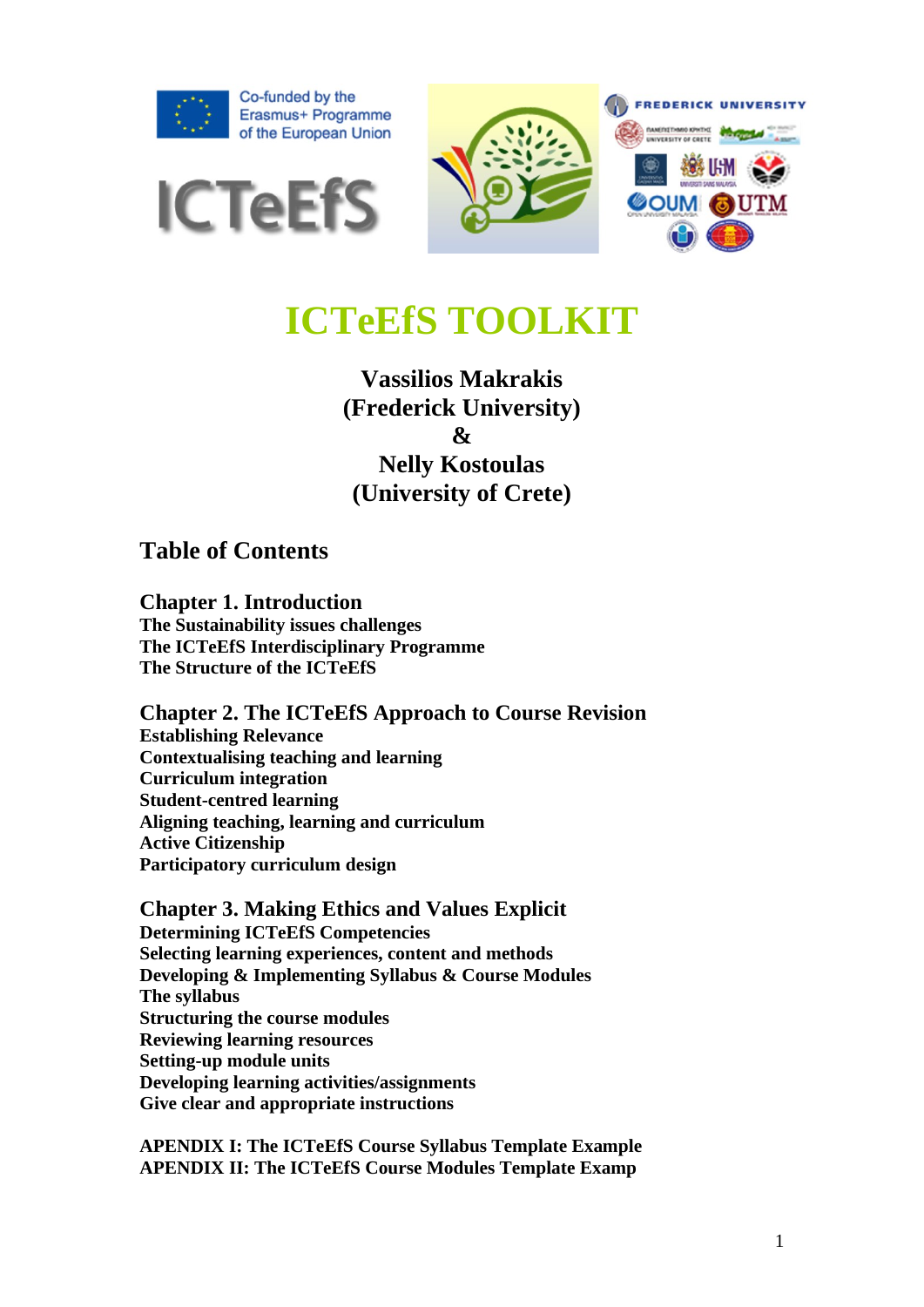





# **ICTeEfS TOOLKIT**

## **Vassilios Makrakis (Frederick University) & Nelly Kostoulas (University of Crete)**

**Table of Contents**

**Chapter 1. Introduction The Sustainability issues challenges The ICTeEfS Interdisciplinary Programme The Structure of the ICTeEfS**

**Chapter 2. The ICTeEfS Approach to Course Revision Establishing Relevance Contextualising teaching and learning Curriculum integration Student-centred learning Aligning teaching, learning and curriculum Active Citizenship Participatory curriculum design**

**Chapter 3. Making Ethics and Values Explicit Determining ICTeEfS Competencies Selecting learning experiences, content and methods Developing & Implementing Syllabus & Course Modules The syllabus Structuring the course modules Reviewing learning resources Setting-up module units Developing learning activities/assignments Give clear and appropriate instructions**

**APENDIX I: The ICTeEfS Course Syllabus Template Example APENDIX II: The ICTeEfS Course Modules Template Examp**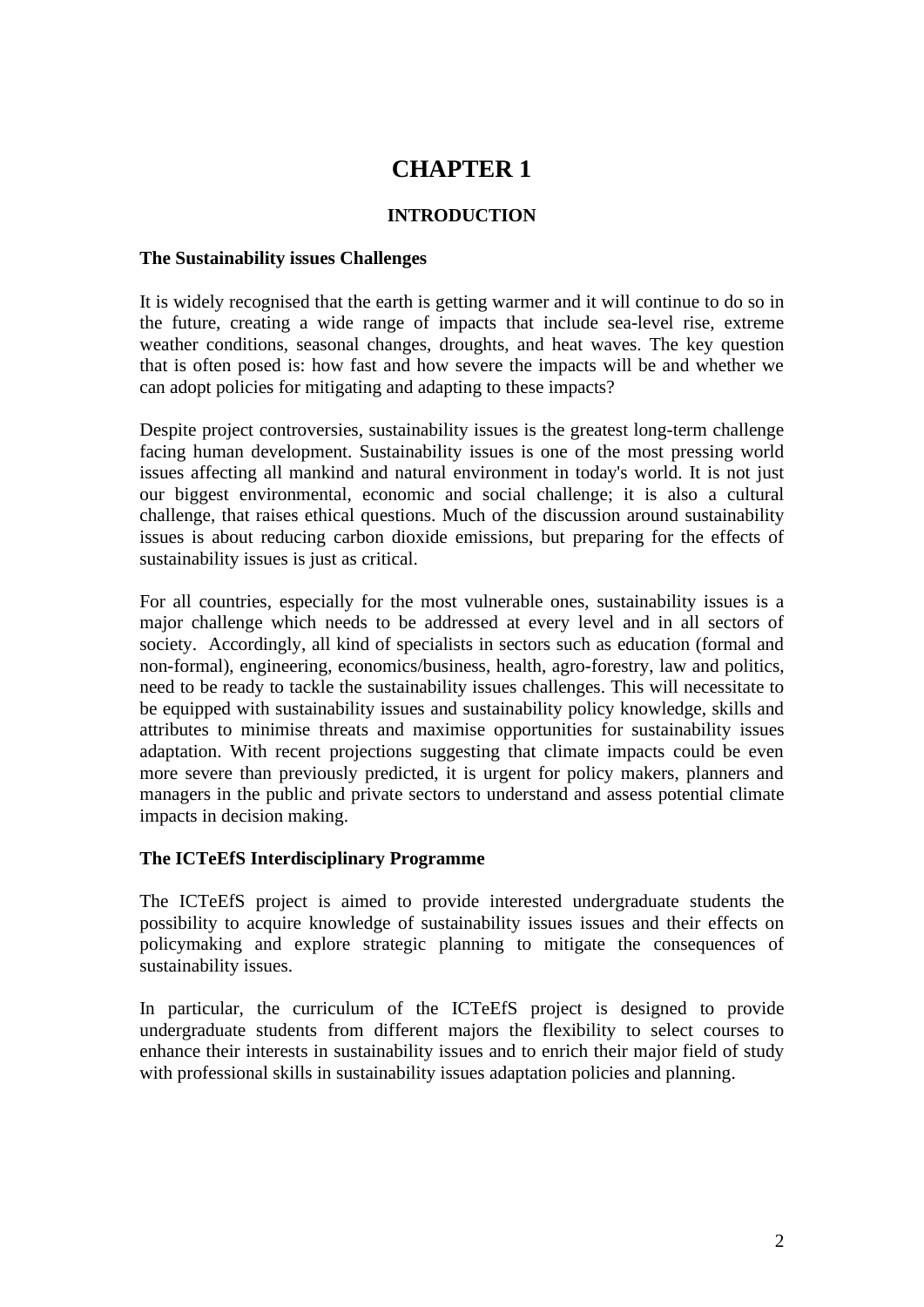## **CHAPTER 1**

#### **INTRODUCTION**

#### **The Sustainability issues Challenges**

It is widely recognised that the earth is getting warmer and it will continue to do so in the future, creating a wide range of impacts that include sea-level rise, extreme weather conditions, seasonal changes, droughts, and heat waves. The key question that is often posed is: how fast and how severe the impacts will be and whether we can adopt policies for mitigating and adapting to these impacts?

Despite project controversies, sustainability issues is the greatest long-term challenge facing human development. Sustainability issues is one of the most pressing world issues affecting all mankind and natural environment in today's world. It is not just our biggest environmental, economic and social challenge; it is also a cultural challenge, that raises ethical questions. Much of the discussion around sustainability issues is about reducing carbon dioxide emissions, but preparing for the effects of sustainability issues is just as critical.

For all countries, especially for the most vulnerable ones, sustainability issues is a major challenge which needs to be addressed at every level and in all sectors of society. Accordingly, all kind of specialists in sectors such as education (formal and non-formal), engineering, economics/business, health, agro-forestry, law and politics, need to be ready to tackle the sustainability issues challenges. This will necessitate to be equipped with sustainability issues and sustainability policy knowledge, skills and attributes to minimise threats and maximise opportunities for sustainability issues adaptation. With recent projections suggesting that climate impacts could be even more severe than previously predicted, it is urgent for policy makers, planners and managers in the public and private sectors to understand and assess potential climate impacts in decision making.

#### **The ICTeEfS Interdisciplinary Programme**

The ICTeEfS project is aimed to provide interested undergraduate students the possibility to acquire knowledge of sustainability issues issues and their effects on policymaking and explore strategic planning to mitigate the consequences of sustainability issues.

In particular, the curriculum of the ICTeEfS project is designed to provide undergraduate students from different majors the flexibility to select courses to enhance their interests in sustainability issues and to enrich their major field of study with professional skills in sustainability issues adaptation policies and planning.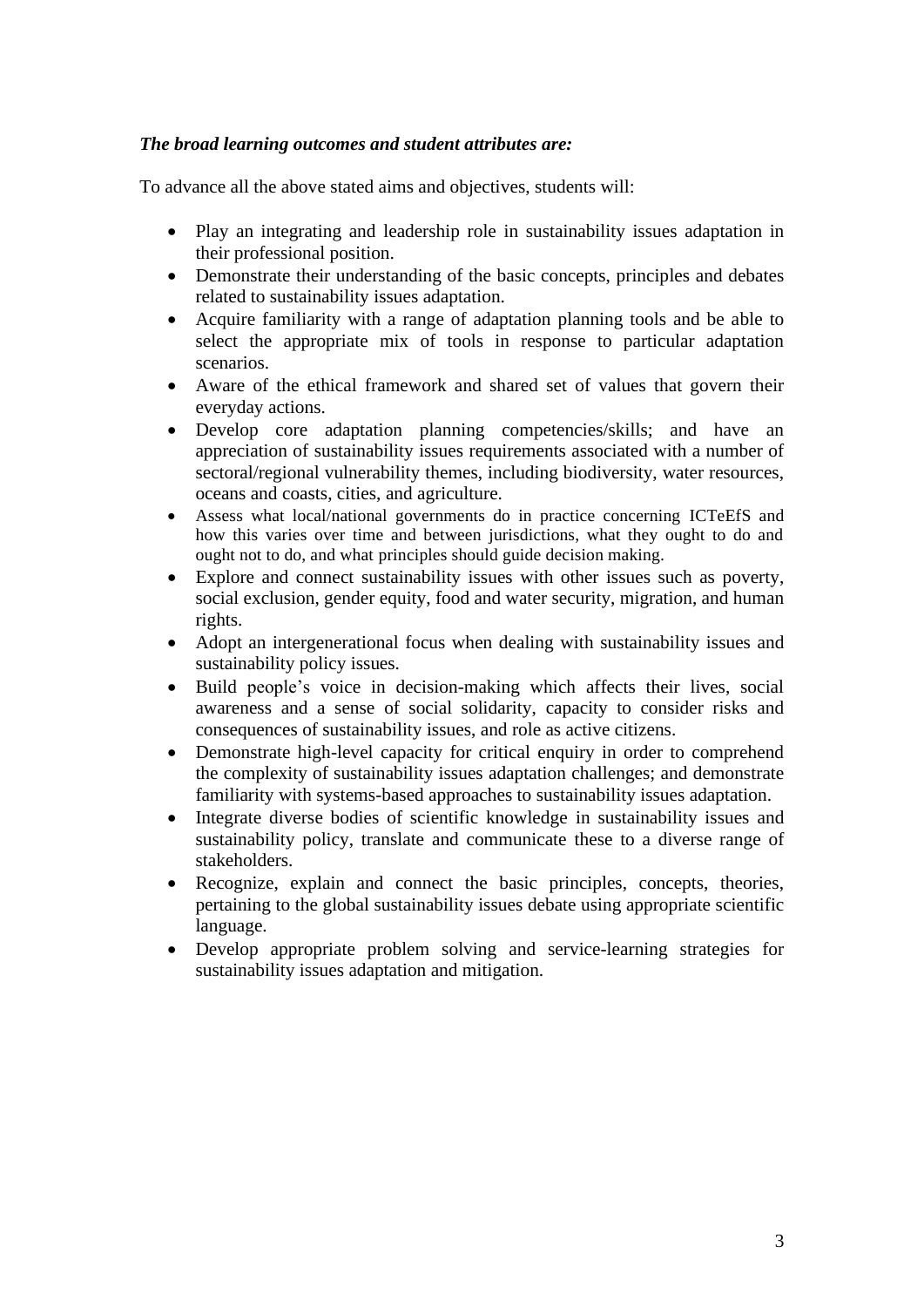#### *The broad learning outcomes and student attributes are:*

To advance all the above stated aims and objectives, students will:

- Play an integrating and leadership role in sustainability issues adaptation in their professional position.
- Demonstrate their understanding of the basic concepts, principles and debates related to sustainability issues adaptation.
- Acquire familiarity with a range of adaptation planning tools and be able to select the appropriate mix of tools in response to particular adaptation scenarios.
- Aware of the ethical framework and shared set of values that govern their everyday actions.
- Develop core adaptation planning competencies/skills; and have an appreciation of sustainability issues requirements associated with a number of sectoral/regional vulnerability themes, including biodiversity, water resources, oceans and coasts, cities, and agriculture.
- Assess what local/national governments do in practice concerning ICTeEfS and how this varies over time and between jurisdictions, what they ought to do and ought not to do, and what principles should guide decision making.
- Explore and connect sustainability issues with other issues such as poverty, social exclusion, gender equity, food and water security, migration, and human rights.
- Adopt an intergenerational focus when dealing with sustainability issues and sustainability policy issues.
- Build people's voice in decision-making which affects their lives, social awareness and a sense of social solidarity, capacity to consider risks and consequences of sustainability issues, and role as active citizens.
- Demonstrate high-level capacity for critical enquiry in order to comprehend the complexity of sustainability issues adaptation challenges; and demonstrate familiarity with systems-based approaches to sustainability issues adaptation.
- Integrate diverse bodies of scientific knowledge in sustainability issues and sustainability policy, translate and communicate these to a diverse range of stakeholders.
- Recognize, explain and connect the basic principles, concepts, theories, pertaining to the global sustainability issues debate using appropriate scientific language.
- Develop appropriate problem solving and service-learning strategies for sustainability issues adaptation and mitigation.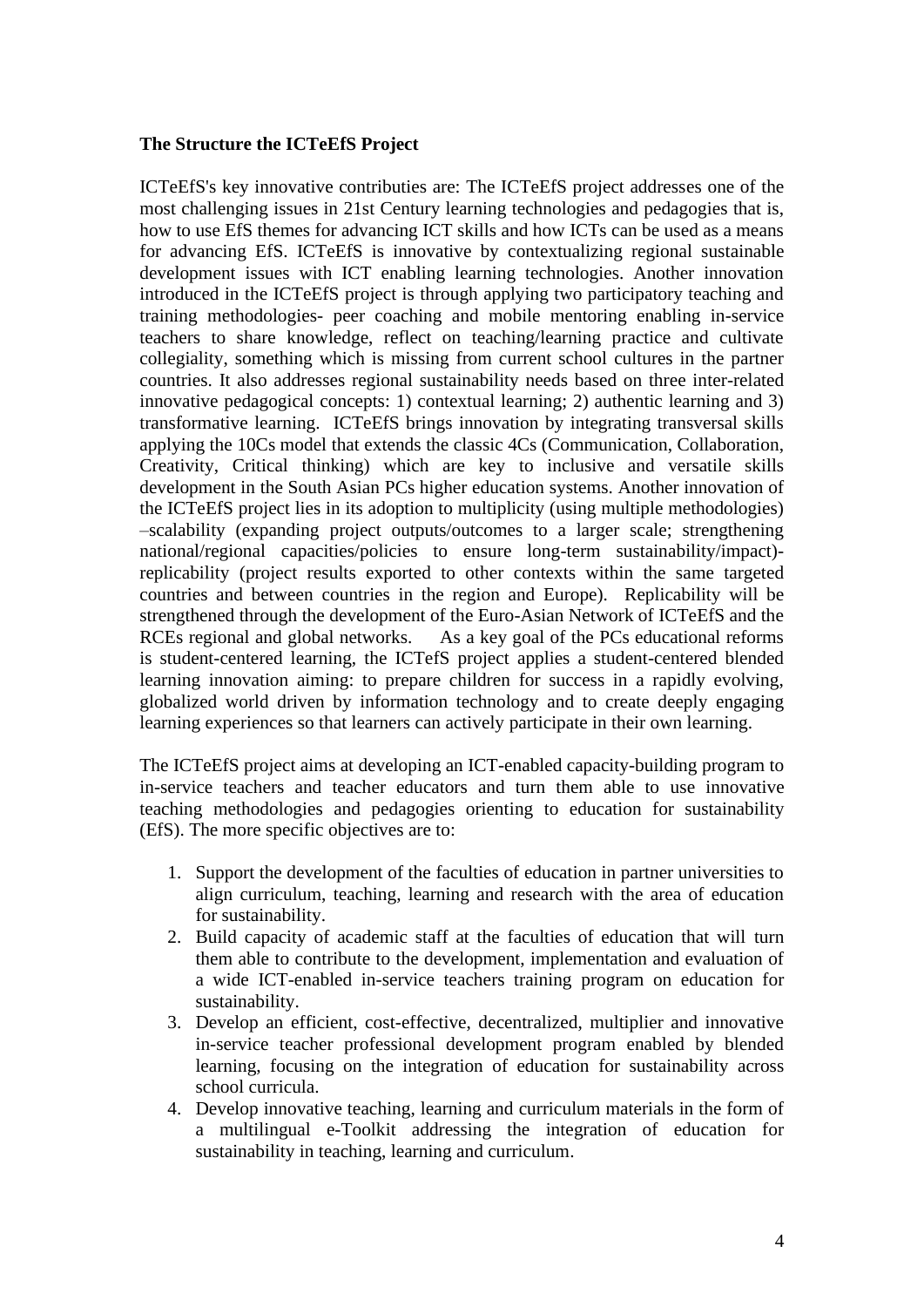#### **The Structure the ICTeEfS Project**

ICTeEfS's key innovative contributies are: The ICTeEfS project addresses one of the most challenging issues in 21st Century learning technologies and pedagogies that is, how to use EfS themes for advancing ICT skills and how ICTs can be used as a means for advancing EfS. ICTeEfS is innovative by contextualizing regional sustainable development issues with ICT enabling learning technologies. Another innovation introduced in the ICTeEfS project is through applying two participatory teaching and training methodologies- peer coaching and mobile mentoring enabling in-service teachers to share knowledge, reflect on teaching/learning practice and cultivate collegiality, something which is missing from current school cultures in the partner countries. It also addresses regional sustainability needs based on three inter-related innovative pedagogical concepts: 1) contextual learning; 2) authentic learning and 3) transformative learning. ICTeEfS brings innovation by integrating transversal skills applying the 10Cs model that extends the classic 4Cs (Communication, Collaboration, Creativity, Critical thinking) which are key to inclusive and versatile skills development in the South Asian PCs higher education systems. Another innovation of the ICTeEfS project lies in its adoption to multiplicity (using multiple methodologies) –scalability (expanding project outputs/outcomes to a larger scale; strengthening national/regional capacities/policies to ensure long-term sustainability/impact) replicability (project results exported to other contexts within the same targeted countries and between countries in the region and Europe). Replicability will be strengthened through the development of the Euro-Asian Network of ICTeEfS and the RCEs regional and global networks. As a key goal of the PCs educational reforms is student-centered learning, the ICTefS project applies a student-centered blended learning innovation aiming: to prepare children for success in a rapidly evolving, globalized world driven by information technology and to create deeply engaging learning experiences so that learners can actively participate in their own learning.

The ICTeEfS project aims at developing an ICT-enabled capacity-building program to in-service teachers and teacher educators and turn them able to use innovative teaching methodologies and pedagogies orienting to education for sustainability (EfS). The more specific objectives are to:

- 1. Support the development of the faculties of education in partner universities to align curriculum, teaching, learning and research with the area of education for sustainability.
- 2. Build capacity of academic staff at the faculties of education that will turn them able to contribute to the development, implementation and evaluation of a wide ICT-enabled in-service teachers training program on education for sustainability.
- 3. Develop an efficient, cost-effective, decentralized, multiplier and innovative in-service teacher professional development program enabled by blended learning, focusing on the integration of education for sustainability across school curricula.
- 4. Develop innovative teaching, learning and curriculum materials in the form of a multilingual e-Toolkit addressing the integration of education for sustainability in teaching, learning and curriculum.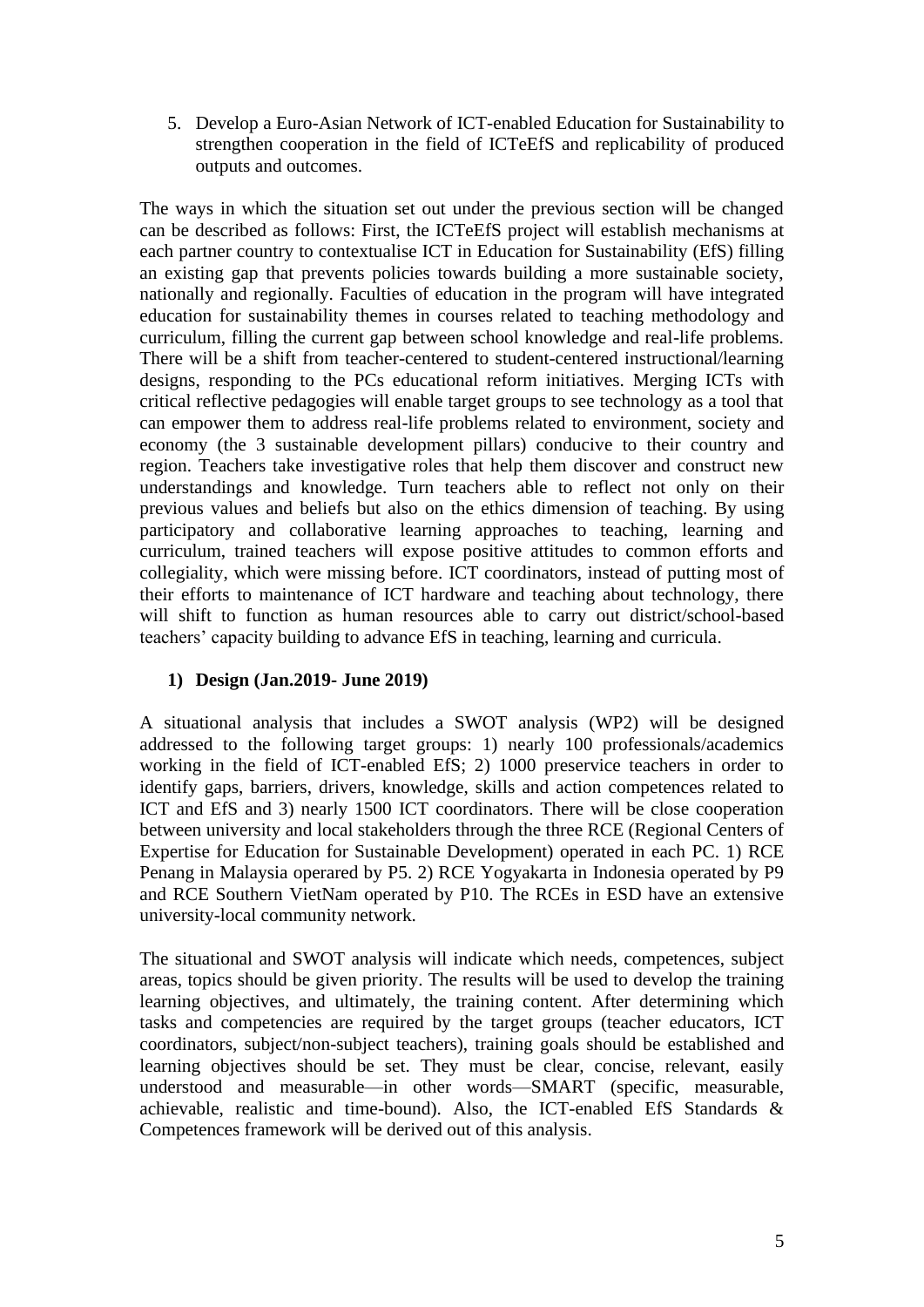5. Develop a Euro-Asian Network of ICT-enabled Education for Sustainability to strengthen cooperation in the field of ICTeEfS and replicability of produced outputs and outcomes.

The ways in which the situation set out under the previous section will be changed can be described as follows: First, the ICTeEfS project will establish mechanisms at each partner country to contextualise ICT in Education for Sustainability (EfS) filling an existing gap that prevents policies towards building a more sustainable society, nationally and regionally. Faculties of education in the program will have integrated education for sustainability themes in courses related to teaching methodology and curriculum, filling the current gap between school knowledge and real-life problems. There will be a shift from teacher-centered to student-centered instructional/learning designs, responding to the PCs educational reform initiatives. Merging ICTs with critical reflective pedagogies will enable target groups to see technology as a tool that can empower them to address real-life problems related to environment, society and economy (the 3 sustainable development pillars) conducive to their country and region. Teachers take investigative roles that help them discover and construct new understandings and knowledge. Turn teachers able to reflect not only on their previous values and beliefs but also on the ethics dimension of teaching. By using participatory and collaborative learning approaches to teaching, learning and curriculum, trained teachers will expose positive attitudes to common efforts and collegiality, which were missing before. ICT coordinators, instead of putting most of their efforts to maintenance of ICT hardware and teaching about technology, there will shift to function as human resources able to carry out district/school-based teachers' capacity building to advance EfS in teaching, learning and curricula.

#### **1) Design (Jan.2019- June 2019)**

A situational analysis that includes a SWOT analysis (WP2) will be designed addressed to the following target groups: 1) nearly 100 professionals/academics working in the field of ICT-enabled EfS; 2) 1000 preservice teachers in order to identify gaps, barriers, drivers, knowledge, skills and action competences related to ICT and EfS and 3) nearly 1500 ICT coordinators. There will be close cooperation between university and local stakeholders through the three RCE (Regional Centers of Expertise for Education for Sustainable Development) operated in each PC. 1) RCE Penang in Malaysia operared by P5. 2) RCE Yogyakarta in Indonesia operated by P9 and RCE Southern VietNam operated by P10. The RCEs in ESD have an extensive university-local community network.

The situational and SWOT analysis will indicate which needs, competences, subject areas, topics should be given priority. The results will be used to develop the training learning objectives, and ultimately, the training content. After determining which tasks and competencies are required by the target groups (teacher educators, ICT coordinators, subject/non-subject teachers), training goals should be established and learning objectives should be set. They must be clear, concise, relevant, easily understood and measurable—in other words—SMART (specific, measurable, achievable, realistic and time-bound). Also, the ICT-enabled EfS Standards & Competences framework will be derived out of this analysis.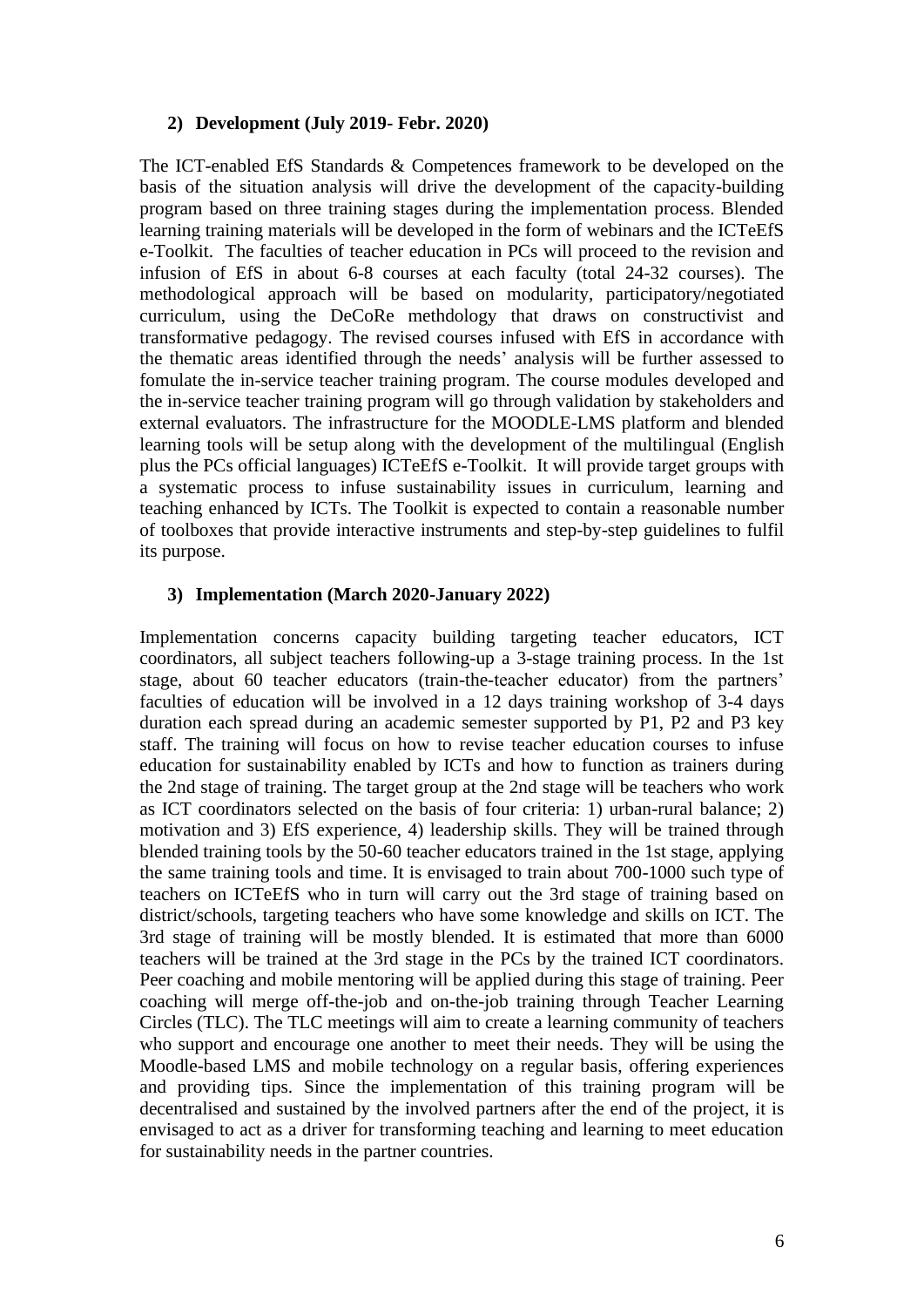#### **2) Development (July 2019- Febr. 2020)**

The ICT-enabled EfS Standards & Competences framework to be developed on the basis of the situation analysis will drive the development of the capacity-building program based on three training stages during the implementation process. Blended learning training materials will be developed in the form of webinars and the ICTeEfS e-Toolkit. The faculties of teacher education in PCs will proceed to the revision and infusion of EfS in about 6-8 courses at each faculty (total 24-32 courses). The methodological approach will be based on modularity, participatory/negotiated curriculum, using the DeCoRe methdology that draws on constructivist and transformative pedagogy. The revised courses infused with EfS in accordance with the thematic areas identified through the needs' analysis will be further assessed to fomulate the in-service teacher training program. The course modules developed and the in-service teacher training program will go through validation by stakeholders and external evaluators. The infrastructure for the MOODLE-LMS platform and blended learning tools will be setup along with the development of the multilingual (English plus the PCs official languages) ICTeEfS e-Toolkit. It will provide target groups with a systematic process to infuse sustainability issues in curriculum, learning and teaching enhanced by ICTs. The Toolkit is expected to contain a reasonable number of toolboxes that provide interactive instruments and step-by-step guidelines to fulfil its purpose.

#### **3) Implementation (March 2020-January 2022)**

Implementation concerns capacity building targeting teacher educators, ICT coordinators, all subject teachers following-up a 3-stage training process. In the 1st stage, about 60 teacher educators (train-the-teacher educator) from the partners' faculties of education will be involved in a 12 days training workshop of 3-4 days duration each spread during an academic semester supported by P1, P2 and P3 key staff. The training will focus on how to revise teacher education courses to infuse education for sustainability enabled by ICTs and how to function as trainers during the 2nd stage of training. The target group at the 2nd stage will be teachers who work as ICT coordinators selected on the basis of four criteria: 1) urban-rural balance; 2) motivation and 3) EfS experience, 4) leadership skills. They will be trained through blended training tools by the 50-60 teacher educators trained in the 1st stage, applying the same training tools and time. It is envisaged to train about 700-1000 such type of teachers on ICTeEfS who in turn will carry out the 3rd stage of training based on district/schools, targeting teachers who have some knowledge and skills on ICT. The 3rd stage of training will be mostly blended. It is estimated that more than 6000 teachers will be trained at the 3rd stage in the PCs by the trained ICT coordinators. Peer coaching and mobile mentoring will be applied during this stage of training. Peer coaching will merge off-the-job and on-the-job training through Teacher Learning Circles (TLC). The TLC meetings will aim to create a learning community of teachers who support and encourage one another to meet their needs. They will be using the Moodle-based LMS and mobile technology on a regular basis, offering experiences and providing tips. Since the implementation of this training program will be decentralised and sustained by the involved partners after the end of the project, it is envisaged to act as a driver for transforming teaching and learning to meet education for sustainability needs in the partner countries.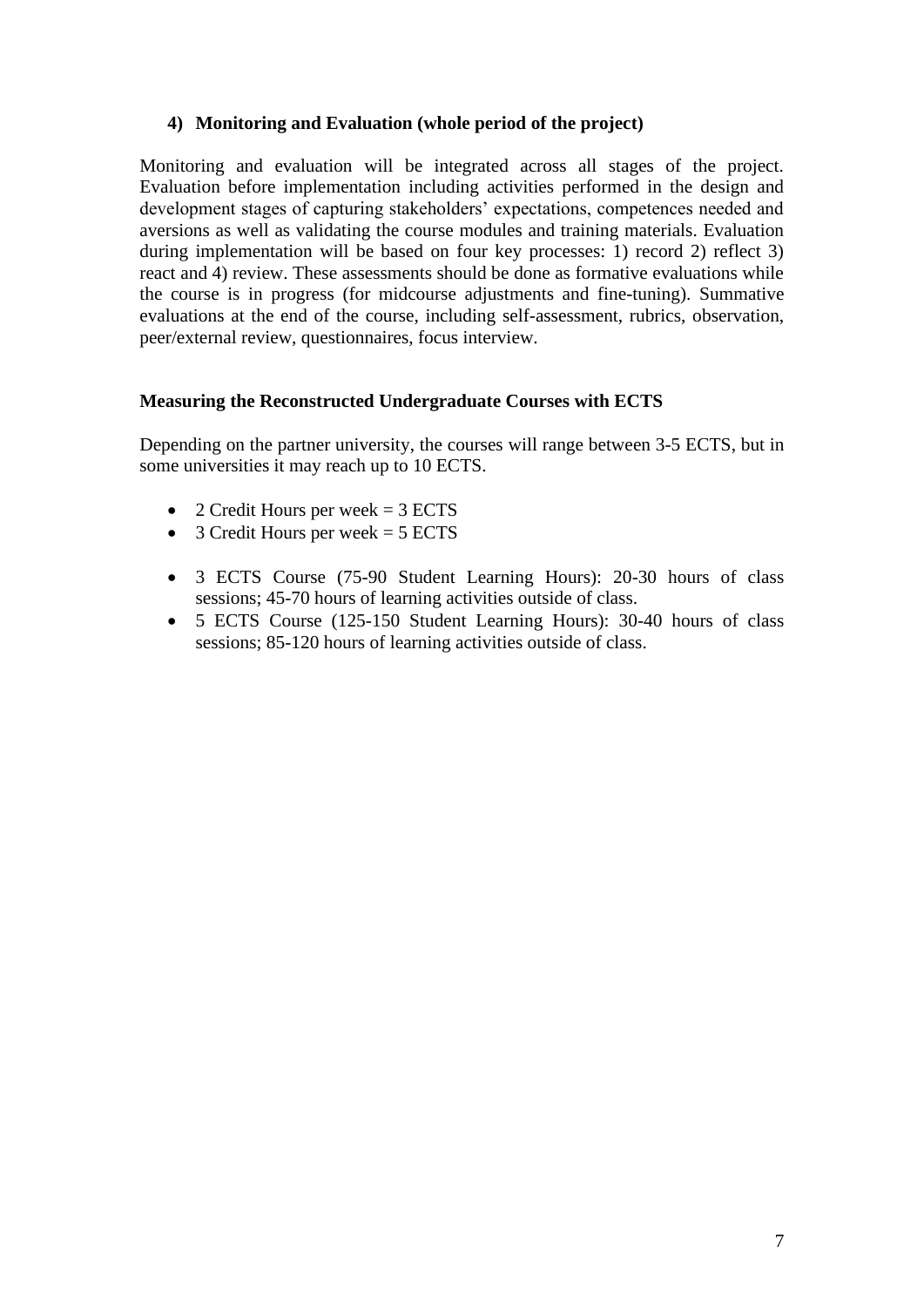#### **4) Monitoring and Evaluation (whole period of the project)**

Monitoring and evaluation will be integrated across all stages of the project. Evaluation before implementation including activities performed in the design and development stages of capturing stakeholders' expectations, competences needed and aversions as well as validating the course modules and training materials. Evaluation during implementation will be based on four key processes: 1) record 2) reflect 3) react and 4) review. These assessments should be done as formative evaluations while the course is in progress (for midcourse adjustments and fine-tuning). Summative evaluations at the end of the course, including self-assessment, rubrics, observation, peer/external review, questionnaires, focus interview.

#### **Measuring the Reconstructed Undergraduate Courses with ECTS**

Depending on the partner university, the courses will range between 3-5 ECTS, but in some universities it may reach up to 10 ECTS.

- 2 Credit Hours per week  $= 3$  ECTS
- 3 Credit Hours per week  $= 5$  ECTS
- 3 ECTS Course (75-90 Student Learning Hours): 20-30 hours of class sessions; 45-70 hours of learning activities outside of class.
- 5 ECTS Course (125-150 Student Learning Hours): 30-40 hours of class sessions; 85-120 hours of learning activities outside of class.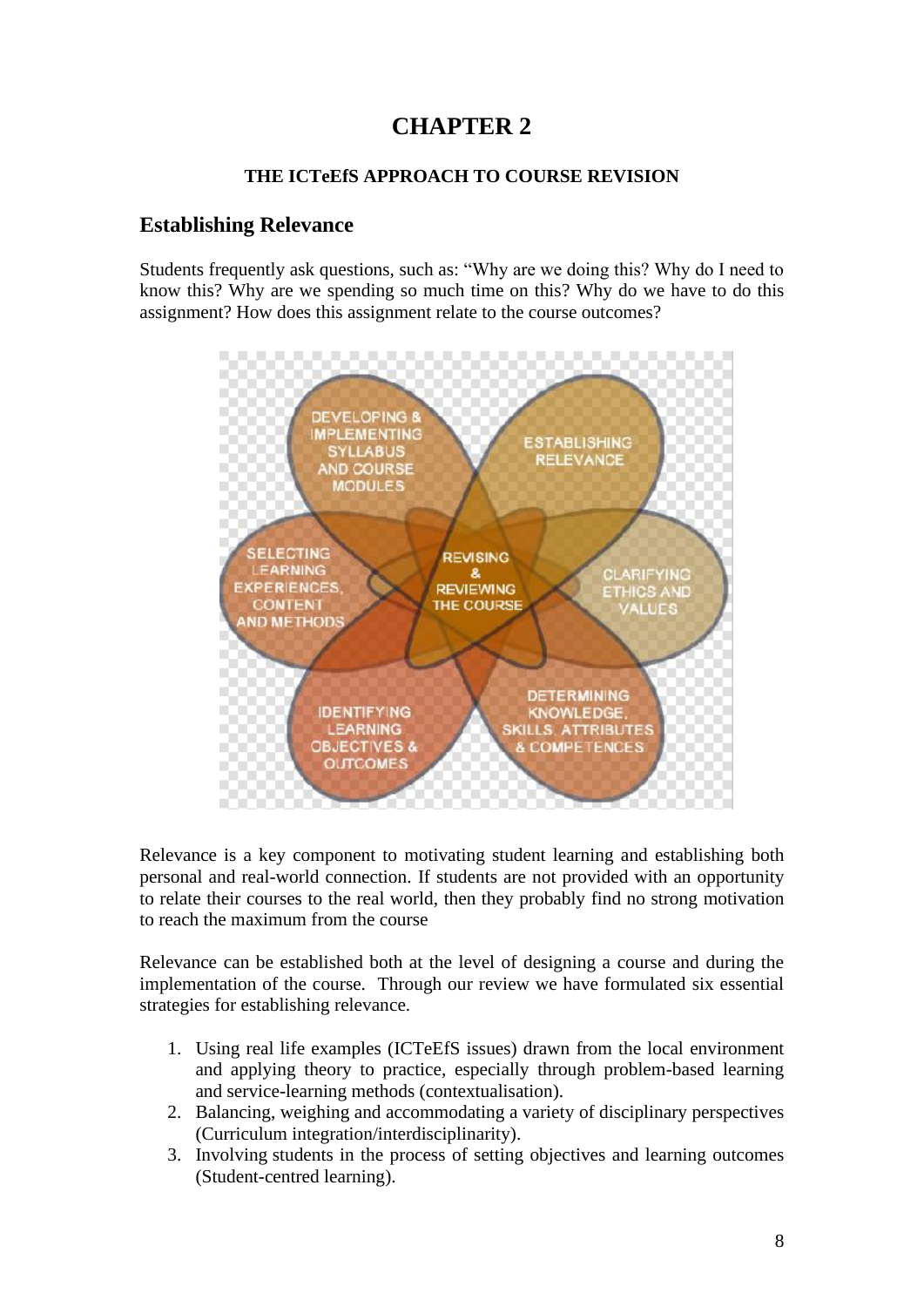## **CHAPTER 2**

#### **THE ICTeEfS APPROACH TO COURSE REVISION**

## **Establishing Relevance**

Students frequently ask questions, such as: "Why are we doing this? Why do I need to know this? Why are we spending so much time on this? Why do we have to do this assignment? How does this assignment relate to the course outcomes?



Relevance is a key component to motivating student learning and establishing both personal and real-world connection. If students are not provided with an opportunity to relate their courses to the real world, then they probably find no strong motivation to reach the maximum from the course

Relevance can be established both at the level of designing a course and during the implementation of the course. Through our review we have formulated six essential strategies for establishing relevance.

- 1. Using real life examples (ICTeEfS issues) drawn from the local environment and applying theory to practice, especially through problem-based learning and service-learning methods (contextualisation).
- 2. Balancing, weighing and accommodating a variety of disciplinary perspectives (Curriculum integration/interdisciplinarity).
- 3. Involving students in the process of setting objectives and learning outcomes (Student-centred learning).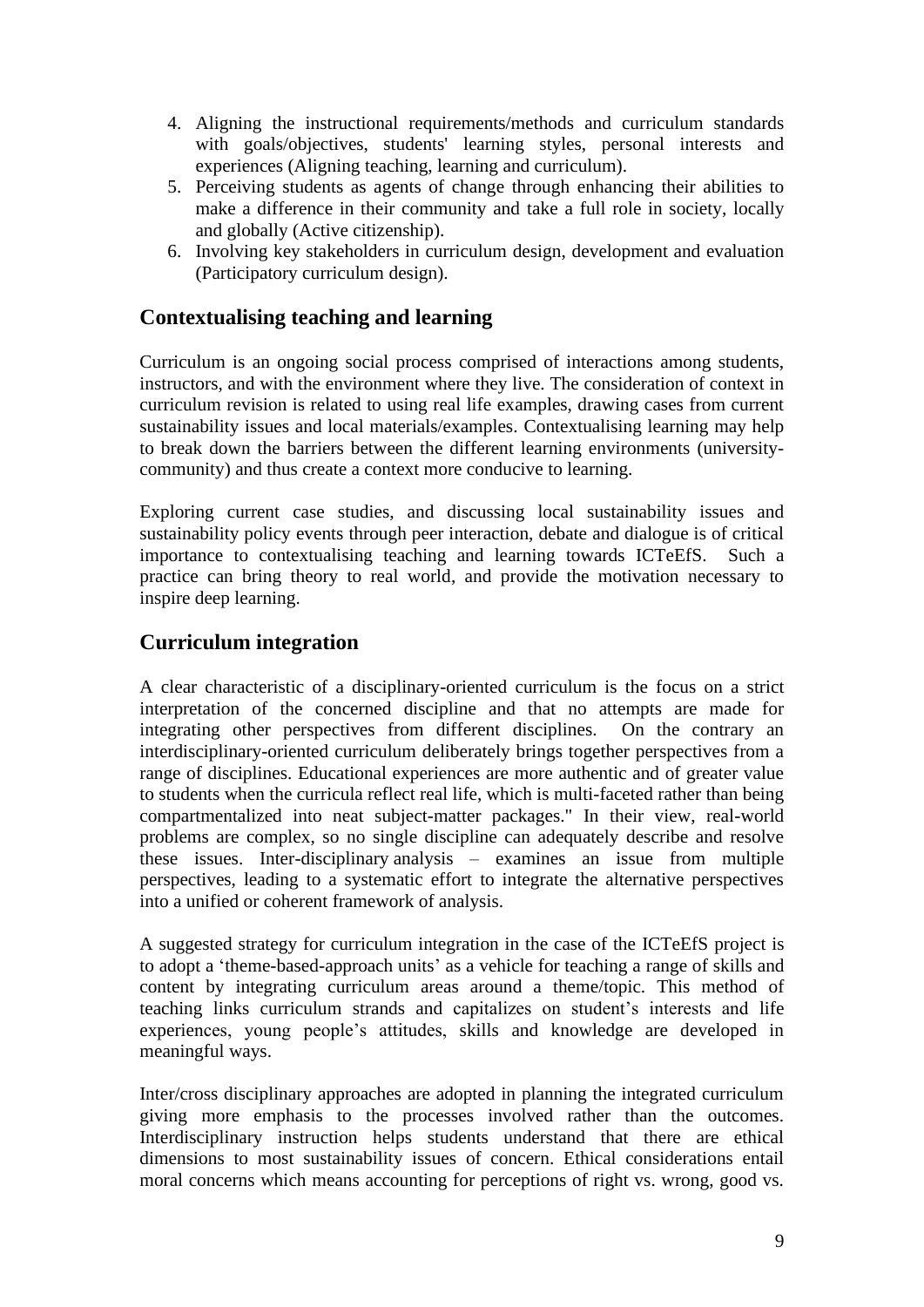- 4. Aligning the instructional requirements/methods and curriculum standards with goals/objectives, students' learning styles, personal interests and experiences (Aligning teaching, learning and curriculum).
- 5. Perceiving students as agents of change through enhancing their abilities to make a difference in their community and take a full role in society, locally and globally (Active citizenship).
- 6. Involving key stakeholders in curriculum design, development and evaluation (Participatory curriculum design).

## **Contextualising teaching and learning**

Curriculum is an ongoing social process comprised of interactions among students, instructors, and with the environment where they live. The consideration of context in curriculum revision is related to using real life examples, drawing cases from current sustainability issues and local materials/examples. Contextualising learning may help to break down the barriers between the different learning environments (universitycommunity) and thus create a context more conducive to learning.

Exploring current case studies, and discussing local sustainability issues and sustainability policy events through peer interaction, debate and dialogue is of critical importance to contextualising teaching and learning towards ICTeEfS. Such a practice can bring theory to real world, and provide the motivation necessary to inspire deep learning.

## **Curriculum integration**

A clear characteristic of a disciplinary-oriented curriculum is the focus on a strict interpretation of the concerned discipline and that no attempts are made for integrating other perspectives from different disciplines. On the contrary an interdisciplinary-oriented curriculum deliberately brings together perspectives from a range of disciplines. Educational experiences are more authentic and of greater value to students when the curricula reflect real life, which is multi-faceted rather than being compartmentalized into neat subject-matter packages." In their view, real-world problems are complex, so no single discipline can adequately describe and resolve these issues. Inter-disciplinary analysis – examines an issue from multiple perspectives, leading to a systematic effort to integrate the alternative perspectives into a unified or coherent framework of analysis.

A suggested strategy for curriculum integration in the case of the ICTeEfS project is to adopt a 'theme-based-approach units' as a vehicle for teaching a range of skills and content by integrating curriculum areas around a theme/topic. This method of teaching links curriculum strands and capitalizes on student's interests and life experiences, young people's attitudes, skills and knowledge are developed in meaningful ways.

Inter/cross disciplinary approaches are adopted in planning the integrated curriculum giving more emphasis to the processes involved rather than the outcomes. Interdisciplinary instruction helps students understand that there are ethical dimensions to most sustainability issues of concern. Ethical considerations entail moral concerns which means accounting for perceptions of right vs. wrong, good vs.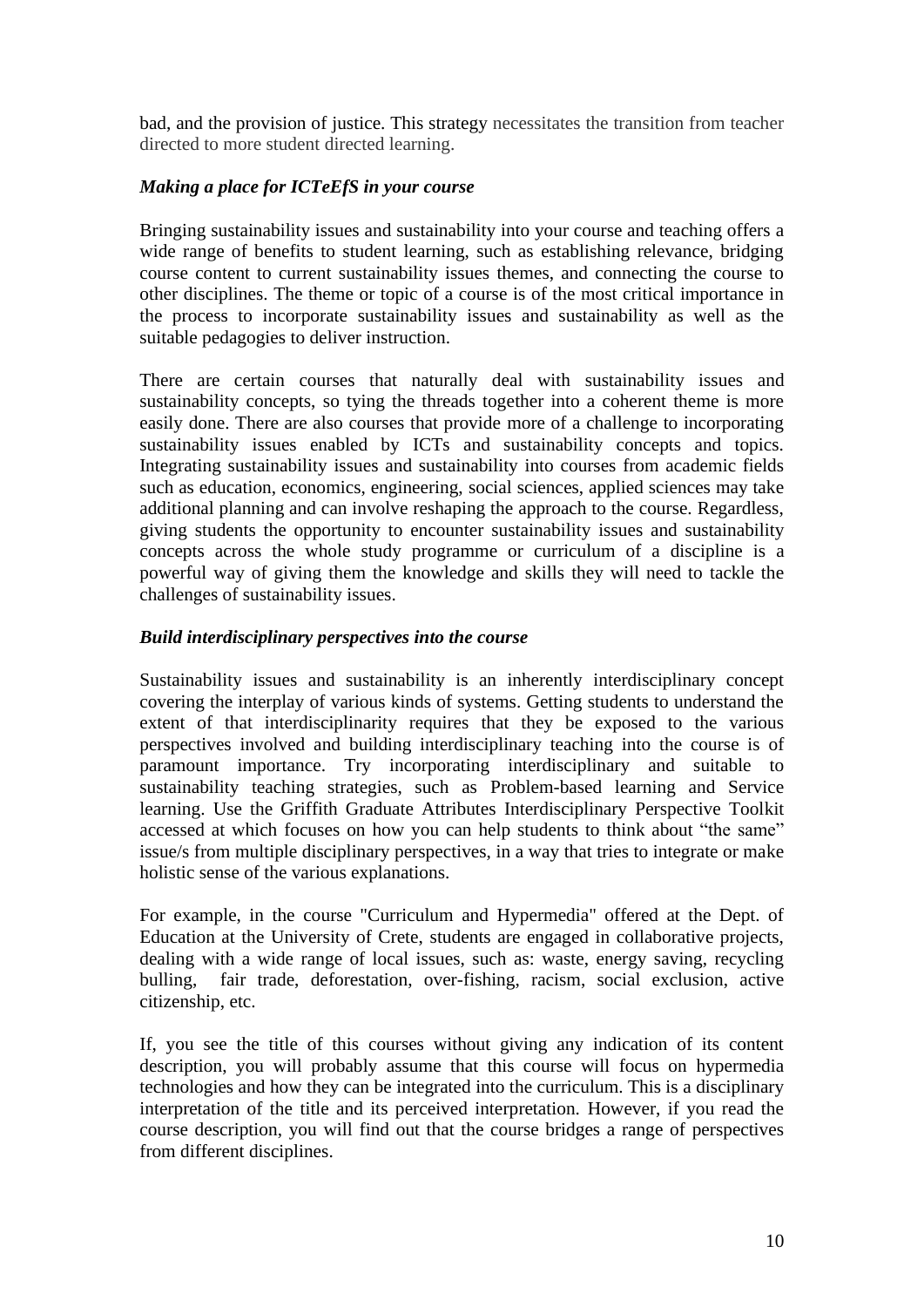bad, and the provision of justice. This strategy necessitates the transition from teacher directed to more student directed learning.

#### *Making a place for ICTeEfS in your course*

Bringing sustainability issues and sustainability into your course and teaching offers a wide range of benefits to student learning, such as establishing relevance, bridging course content to current sustainability issues themes, and connecting the course to other disciplines. The theme or topic of a course is of the most critical importance in the process to incorporate sustainability issues and sustainability as well as the suitable pedagogies to deliver instruction.

There are certain courses that naturally deal with sustainability issues and sustainability concepts, so tying the threads together into a coherent theme is more easily done. There are also courses that provide more of a challenge to incorporating sustainability issues enabled by ICTs and sustainability concepts and topics. Integrating sustainability issues and sustainability into courses from academic fields such as education, economics, engineering, social sciences, applied sciences may take additional planning and can involve reshaping the approach to the course. Regardless, giving students the opportunity to encounter sustainability issues and sustainability concepts across the whole study programme or curriculum of a discipline is a powerful way of giving them the knowledge and skills they will need to tackle the challenges of sustainability issues.

#### *Build interdisciplinary perspectives into the course*

Sustainability issues and sustainability is an inherently interdisciplinary concept covering the interplay of various kinds of systems. Getting students to understand the extent of that interdisciplinarity requires that they be exposed to the various perspectives involved and building interdisciplinary teaching into the course is of paramount importance. Try incorporating interdisciplinary and suitable to sustainability teaching strategies, such as Problem-based learning and Service learning. Use the Griffith Graduate Attributes Interdisciplinary Perspective Toolkit accessed at which focuses on how you can help students to think about "the same" issue/s from multiple disciplinary perspectives, in a way that tries to integrate or make holistic sense of the various explanations.

For example, in the course "Curriculum and Hypermedia" offered at the Dept. of Education at the University of Crete, students are engaged in collaborative projects, dealing with a wide range of local issues, such as: waste, energy saving, recycling bulling, fair trade, deforestation, over-fishing, racism, social exclusion, active citizenship, etc.

If, you see the title of this courses without giving any indication of its content description, you will probably assume that this course will focus on hypermedia technologies and how they can be integrated into the curriculum. This is a disciplinary interpretation of the title and its perceived interpretation. However, if you read the course description, you will find out that the course bridges a range of perspectives from different disciplines.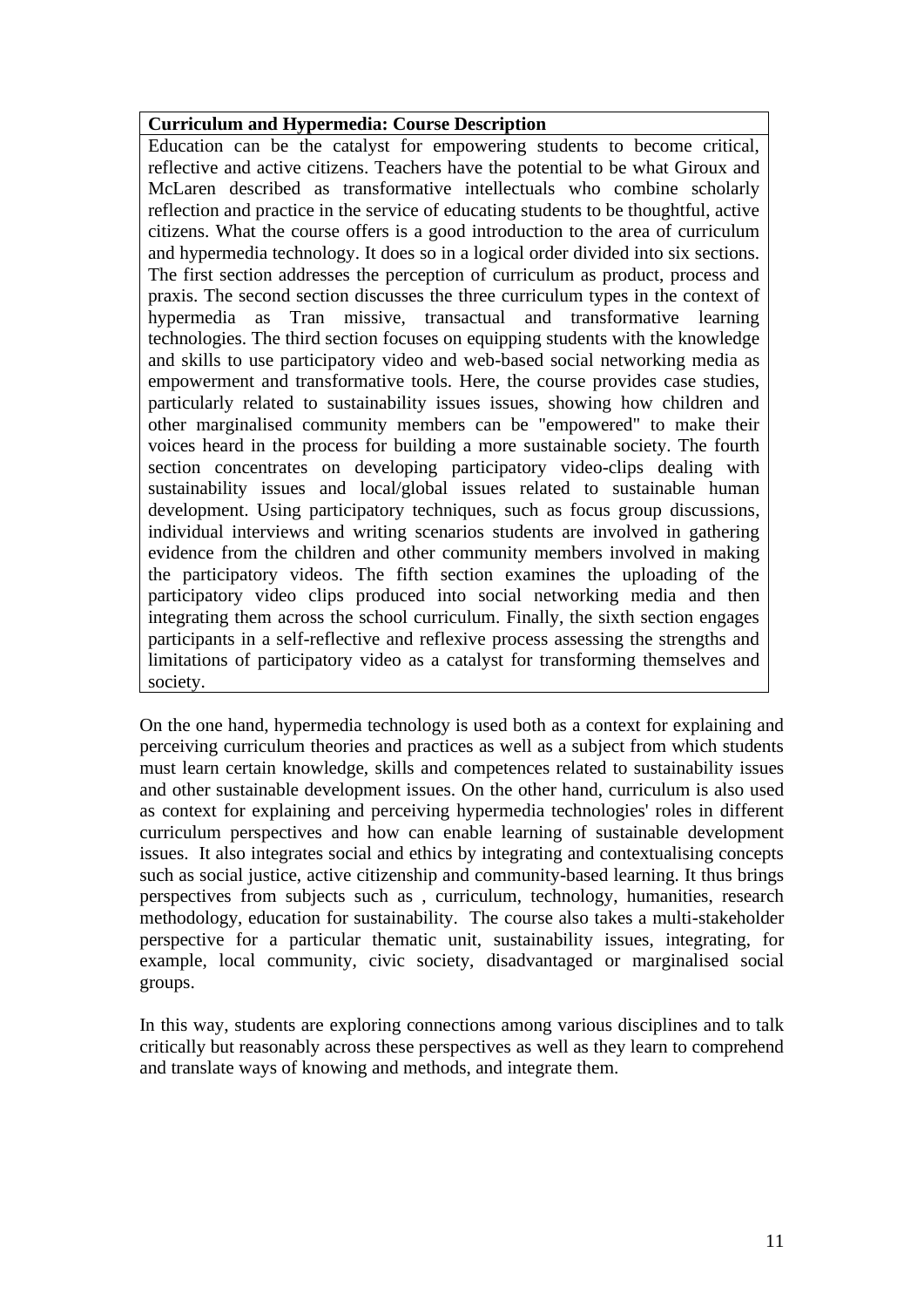#### **Curriculum and Hypermedia: Course Description**

Education can be the catalyst for empowering students to become critical, reflective and active citizens. Teachers have the potential to be what Giroux and McLaren described as transformative intellectuals who combine scholarly reflection and practice in the service of educating students to be thoughtful, active citizens. What the course offers is a good introduction to the area of curriculum and hypermedia technology. It does so in a logical order divided into six sections. The first section addresses the perception of curriculum as product, process and praxis. The second section discusses the three curriculum types in the context of hypermedia as Tran missive, transactual and transformative learning technologies. The third section focuses on equipping students with the knowledge and skills to use participatory video and web-based social networking media as empowerment and transformative tools. Here, the course provides case studies, particularly related to sustainability issues issues, showing how children and other marginalised community members can be "empowered" to make their voices heard in the process for building a more sustainable society. The fourth section concentrates on developing participatory video-clips dealing with sustainability issues and local/global issues related to sustainable human development. Using participatory techniques, such as focus group discussions, individual interviews and writing scenarios students are involved in gathering evidence from the children and other community members involved in making the participatory videos. The fifth section examines the uploading of the participatory video clips produced into social networking media and then integrating them across the school curriculum. Finally, the sixth section engages participants in a self-reflective and reflexive process assessing the strengths and limitations of participatory video as a catalyst for transforming themselves and society.

On the one hand, hypermedia technology is used both as a context for explaining and perceiving curriculum theories and practices as well as a subject from which students must learn certain knowledge, skills and competences related to sustainability issues and other sustainable development issues. On the other hand, curriculum is also used as context for explaining and perceiving hypermedia technologies' roles in different curriculum perspectives and how can enable learning of sustainable development issues. It also integrates social and ethics by integrating and contextualising concepts such as social justice, active citizenship and community-based learning. It thus brings perspectives from subjects such as , curriculum, technology, humanities, research methodology, education for sustainability. The course also takes a multi-stakeholder perspective for a particular thematic unit, sustainability issues, integrating, for example, local community, civic society, disadvantaged or marginalised social groups.

In this way, students are exploring connections among various disciplines and to talk critically but reasonably across these perspectives as well as they learn to comprehend and translate ways of knowing and methods, and integrate them.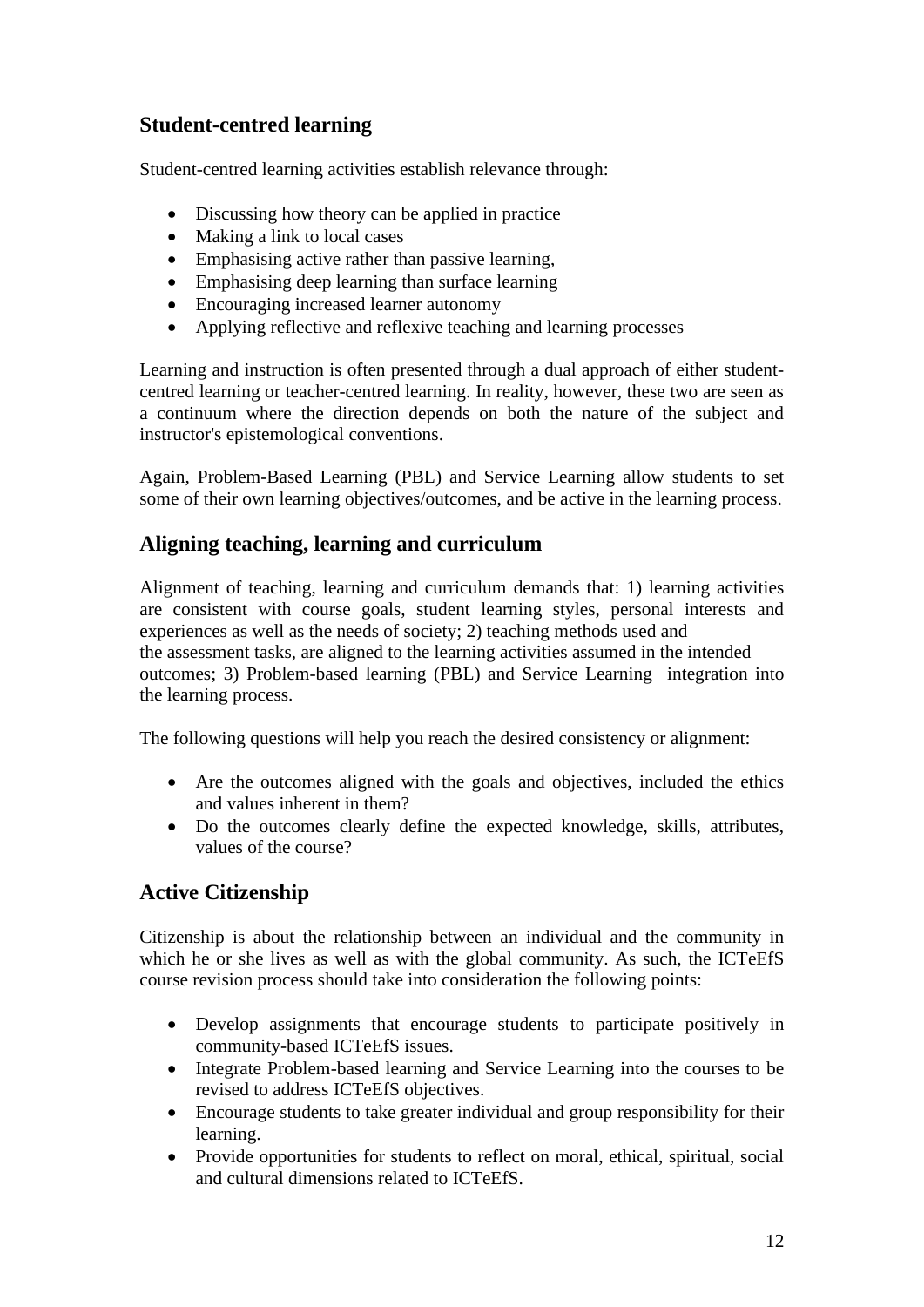## **Student-centred learning**

Student-centred learning activities establish relevance through:

- Discussing how theory can be applied in practice
- Making a link to local cases
- Emphasising active rather than passive learning,
- Emphasising deep learning than surface learning
- Encouraging increased learner autonomy
- Applying reflective and reflexive teaching and learning processes

Learning and instruction is often presented through a dual approach of either studentcentred learning or teacher-centred learning. In reality, however, these two are seen as a continuum where the direction depends on both the nature of the subject and instructor's epistemological conventions.

Again, Problem-Based Learning (PBL) and Service Learning allow students to set some of their own learning objectives/outcomes, and be active in the learning process.

## **Aligning teaching, learning and curriculum**

Alignment of teaching, learning and curriculum demands that: 1) learning activities are consistent with course goals, student learning styles, personal interests and experiences as well as the needs of society; 2) teaching methods used and the assessment tasks, are aligned to the learning activities assumed in the intended outcomes; 3) Problem-based learning (PBL) and Service Learning integration into the learning process.

The following questions will help you reach the desired consistency or alignment:

- Are the outcomes aligned with the goals and objectives, included the ethics and values inherent in them?
- Do the outcomes clearly define the expected knowledge, skills, attributes, values of the course?

## **Active Citizenship**

Citizenship is about the relationship between an individual and the community in which he or she lives as well as with the global community. As such, the ICTeEfS course revision process should take into consideration the following points:

- Develop assignments that encourage students to participate positively in community-based ICTeEfS issues.
- Integrate Problem-based learning and Service Learning into the courses to be revised to address ICTeEfS objectives.
- Encourage students to take greater individual and group responsibility for their learning.
- Provide opportunities for students to reflect on moral, ethical, spiritual, social and cultural dimensions related to ICTeEfS.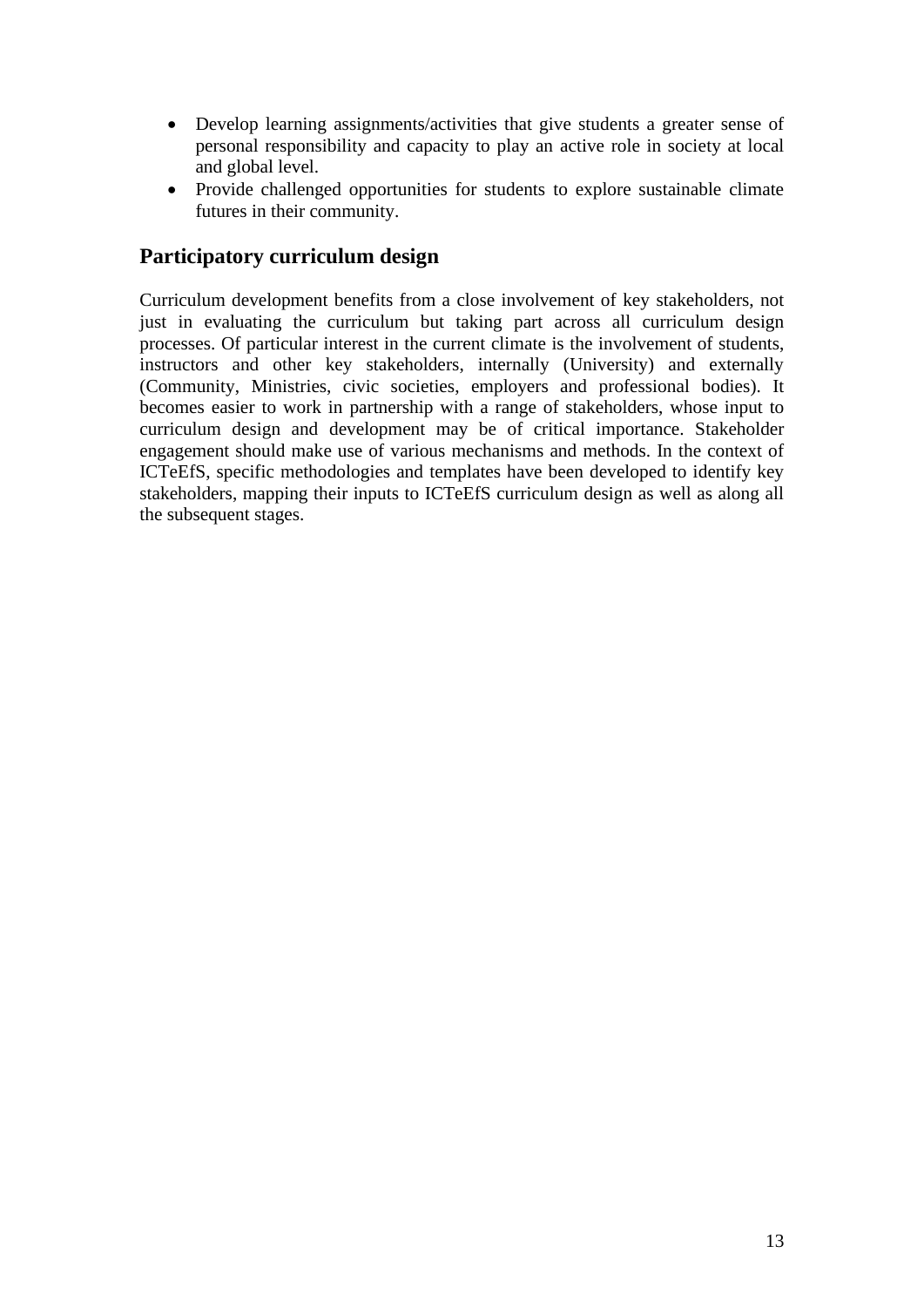- Develop learning assignments/activities that give students a greater sense of personal responsibility and capacity to play an active role in society at local and global level.
- Provide challenged opportunities for students to explore sustainable climate futures in their community.

## **Participatory curriculum design**

Curriculum development benefits from a close involvement of key stakeholders, not just in evaluating the curriculum but taking part across all curriculum design processes. Of particular interest in the current climate is the involvement of students, instructors and other key stakeholders, internally (University) and externally (Community, Ministries, civic societies, employers and professional bodies). It becomes easier to work in partnership with a range of stakeholders, whose input to curriculum design and development may be of critical importance. Stakeholder engagement should make use of various mechanisms and methods. In the context of ICTeEfS, specific methodologies and templates have been developed to identify key stakeholders, mapping their inputs to ICTeEfS curriculum design as well as along all the subsequent stages.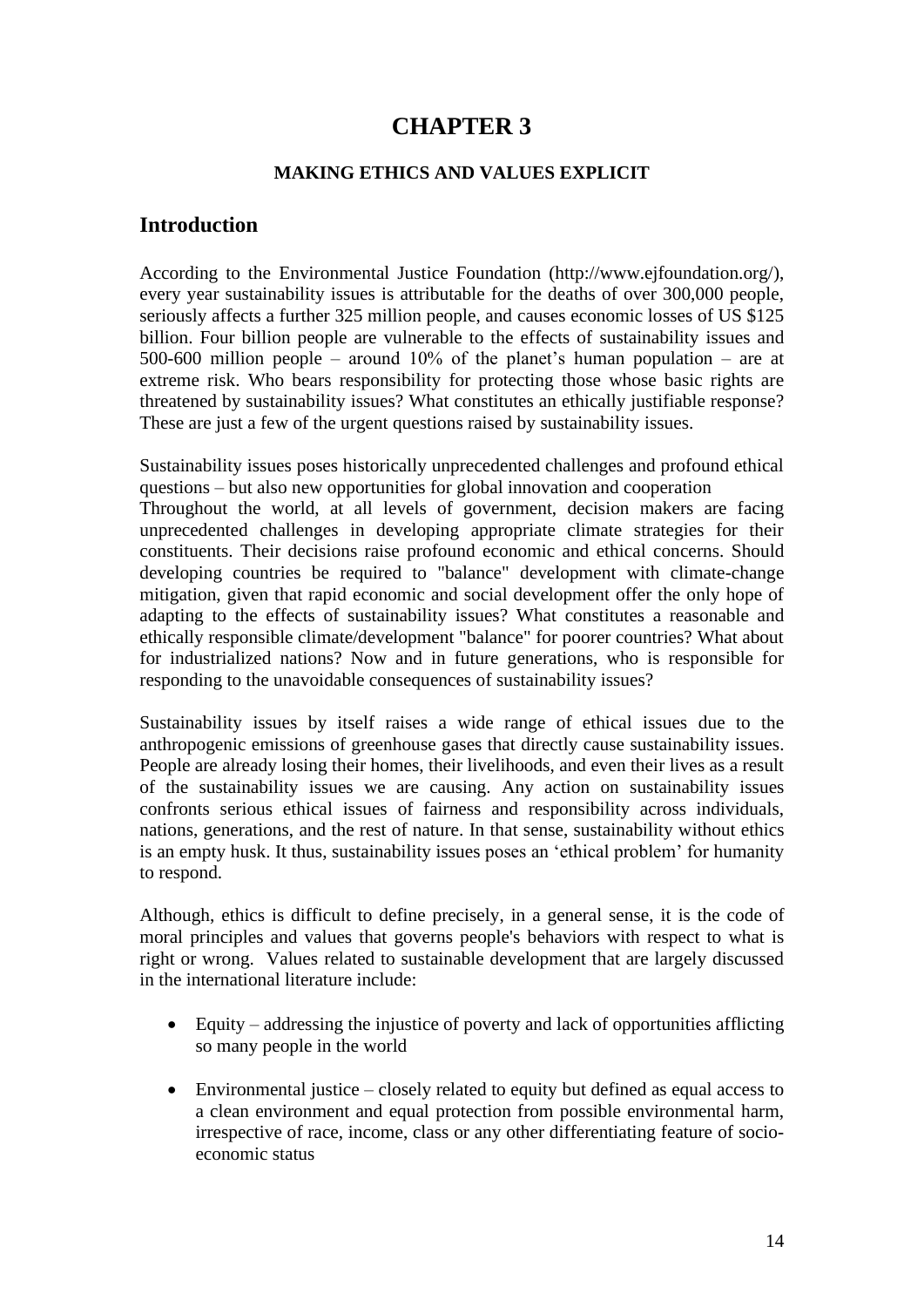## **CHAPTER 3**

#### **MAKING ETHICS AND VALUES EXPLICIT**

#### **Introduction**

According to the Environmental Justice Foundation (http://www.ejfoundation.org/), every year sustainability issues is attributable for the deaths of over 300,000 people, seriously affects a further 325 million people, and causes economic losses of US \$125 billion. Four billion people are vulnerable to the effects of sustainability issues and 500-600 million people – around 10% of the planet's human population – are at extreme risk. Who bears responsibility for protecting those whose basic rights are threatened by sustainability issues? What constitutes an ethically justifiable response? These are just a few of the urgent questions raised by sustainability issues.

Sustainability issues poses historically unprecedented challenges and profound ethical questions – but also new opportunities for global innovation and cooperation Throughout the world, at all levels of government, decision makers are facing unprecedented challenges in developing appropriate climate strategies for their constituents. Their decisions raise profound economic and ethical concerns. Should developing countries be required to "balance" development with climate-change mitigation, given that rapid economic and social development offer the only hope of adapting to the effects of sustainability issues? What constitutes a reasonable and ethically responsible climate/development "balance" for poorer countries? What about for industrialized nations? Now and in future generations, who is responsible for responding to the unavoidable consequences of sustainability issues?

Sustainability issues by itself raises a wide range of ethical issues due to the anthropogenic emissions of greenhouse gases that directly cause sustainability issues. People are already losing their homes, their livelihoods, and even their lives as a result of the sustainability issues we are causing. Any action on sustainability issues confronts serious ethical issues of fairness and responsibility across individuals, nations, generations, and the rest of nature. In that sense, sustainability without ethics is an empty husk. It thus, sustainability issues poses an 'ethical problem' for humanity to respond.

Although, ethics is difficult to define precisely, in a general sense, it is the code of moral principles and values that governs people's behaviors with respect to what is right or wrong. Values related to sustainable development that are largely discussed in the international literature include:

- Equity addressing the injustice of poverty and lack of opportunities afflicting so many people in the world
- Environmental justice closely related to equity but defined as equal access to a clean environment and equal protection from possible environmental harm, irrespective of race, income, class or any other differentiating feature of socioeconomic status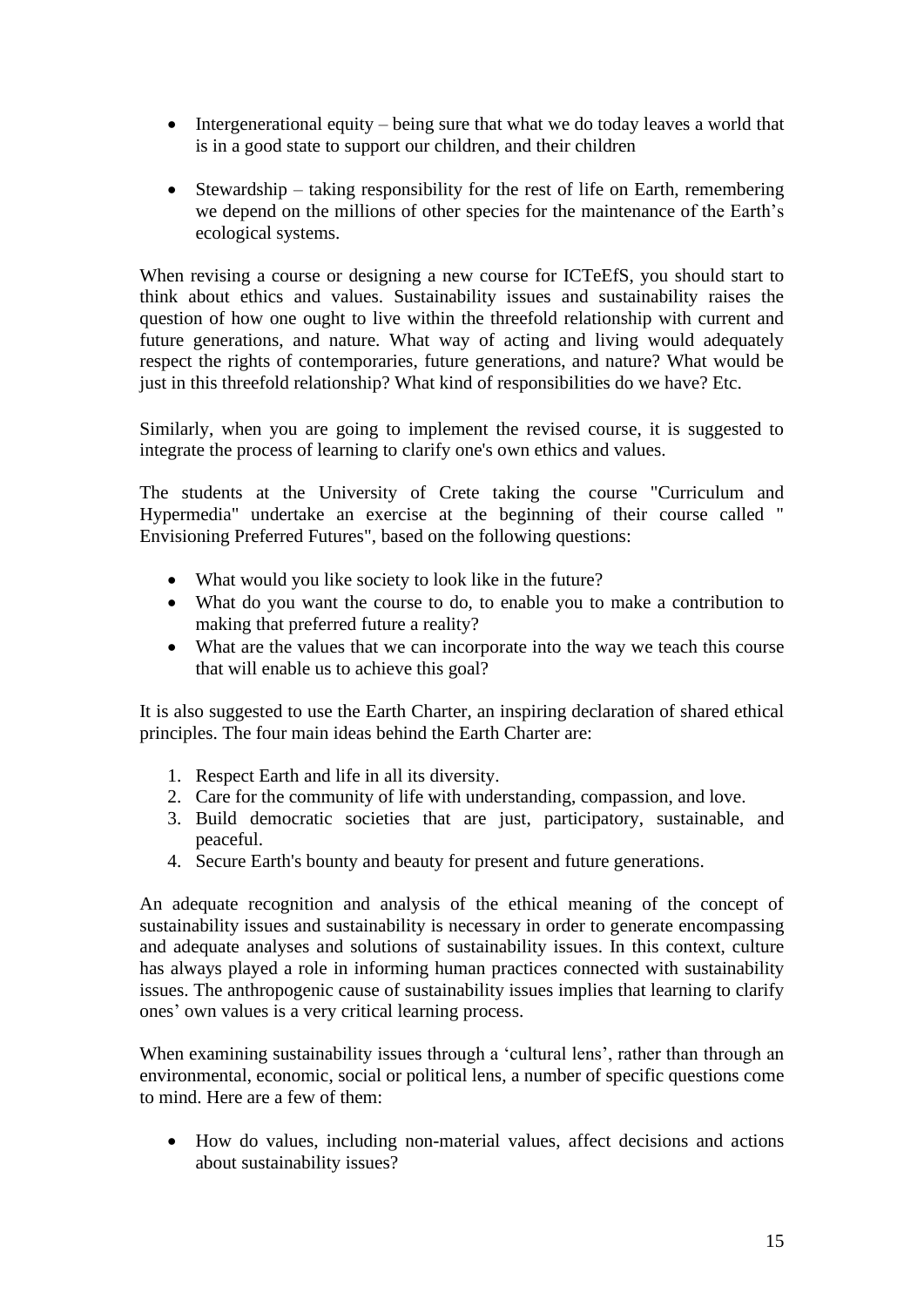- Intergenerational equity being sure that what we do today leaves a world that is in a good state to support our children, and their children
- Stewardship taking responsibility for the rest of life on Earth, remembering we depend on the millions of other species for the maintenance of the Earth's ecological systems.

When revising a course or designing a new course for ICTeEfS, you should start to think about ethics and values. Sustainability issues and sustainability raises the question of how one ought to live within the threefold relationship with current and future generations, and nature. What way of acting and living would adequately respect the rights of contemporaries, future generations, and nature? What would be just in this threefold relationship? What kind of responsibilities do we have? Etc.

Similarly, when you are going to implement the revised course, it is suggested to integrate the process of learning to clarify one's own ethics and values.

The students at the University of Crete taking the course "Curriculum and Hypermedia" undertake an exercise at the beginning of their course called " Envisioning Preferred Futures", based on the following questions:

- What would you like society to look like in the future?
- What do you want the course to do, to enable you to make a contribution to making that preferred future a reality?
- What are the values that we can incorporate into the way we teach this course that will enable us to achieve this goal?

It is also suggested to use the Earth Charter, an inspiring declaration of shared ethical principles. The four main ideas behind the Earth Charter are:

- 1. Respect Earth and life in all its diversity.
- 2. Care for the community of life with understanding, compassion, and love.
- 3. Build democratic societies that are just, participatory, sustainable, and peaceful.
- 4. Secure Earth's bounty and beauty for present and future generations.

An adequate recognition and analysis of the ethical meaning of the concept of sustainability issues and sustainability is necessary in order to generate encompassing and adequate analyses and solutions of sustainability issues. In this context, culture has always played a role in informing human practices connected with sustainability issues. The anthropogenic cause of sustainability issues implies that learning to clarify ones' own values is a very critical learning process.

When examining sustainability issues through a 'cultural lens', rather than through an environmental, economic, social or political lens, a number of specific questions come to mind. Here are a few of them:

• How do values, including non-material values, affect decisions and actions about sustainability issues?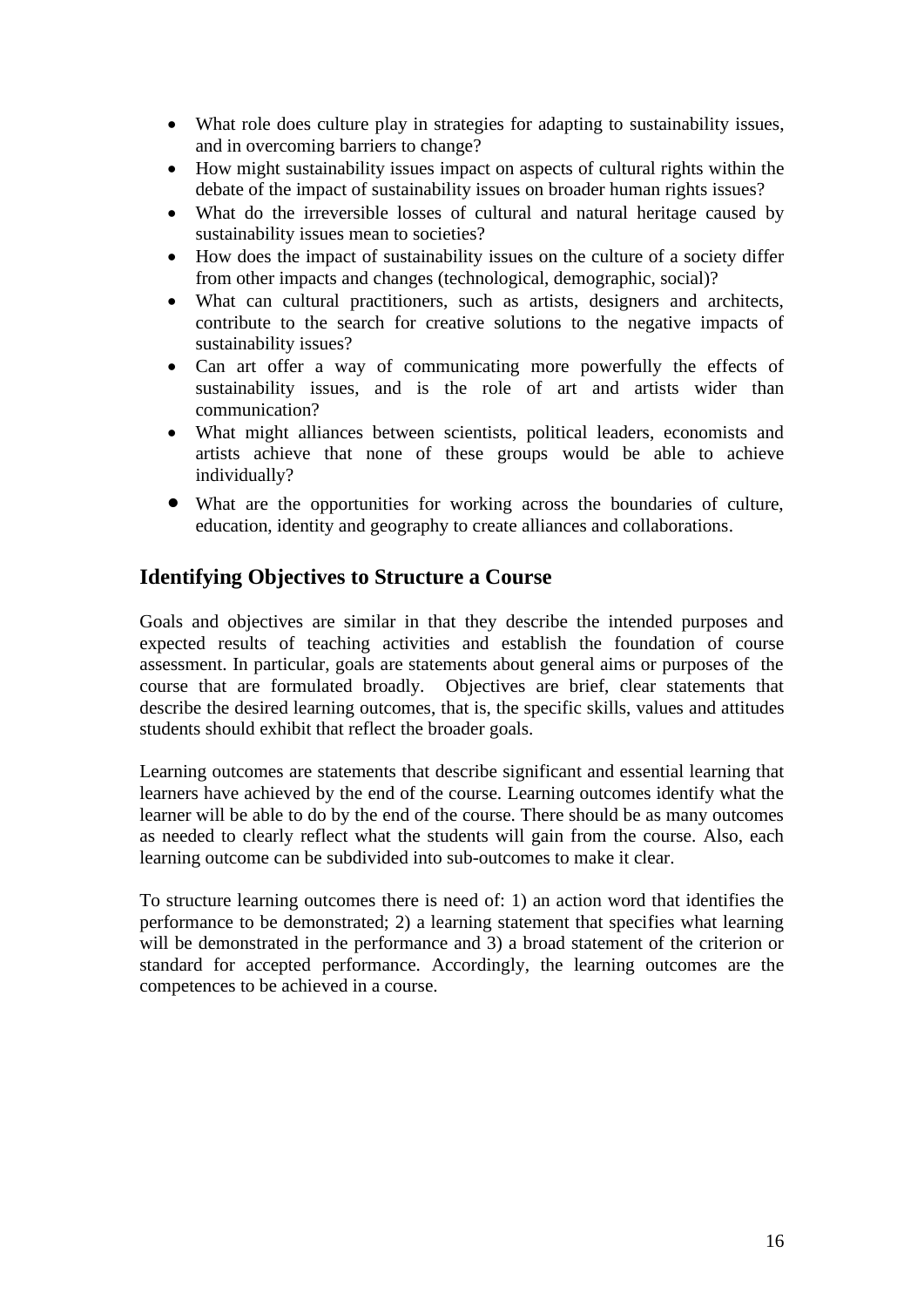- What role does culture play in strategies for adapting to sustainability issues, and in overcoming barriers to change?
- How might sustainability issues impact on aspects of cultural rights within the debate of the impact of sustainability issues on broader human rights issues?
- What do the irreversible losses of cultural and natural heritage caused by sustainability issues mean to societies?
- How does the impact of sustainability issues on the culture of a society differ from other impacts and changes (technological, demographic, social)?
- What can cultural practitioners, such as artists, designers and architects, contribute to the search for creative solutions to the negative impacts of sustainability issues?
- Can art offer a way of communicating more powerfully the effects of sustainability issues, and is the role of art and artists wider than communication?
- What might alliances between scientists, political leaders, economists and artists achieve that none of these groups would be able to achieve individually?
- What are the opportunities for working across the boundaries of culture, education, identity and geography to create alliances and collaborations.

## **Identifying Objectives to Structure a Course**

Goals and objectives are similar in that they describe the intended purposes and expected results of teaching activities and establish the foundation of course assessment. In particular, goals are statements about general aims or purposes of the course that are formulated broadly. Objectives are brief, clear statements that describe the desired learning outcomes, that is, the specific skills, values and attitudes students should exhibit that reflect the broader goals.

Learning outcomes are statements that describe significant and essential learning that learners have achieved by the end of the course. Learning outcomes identify what the learner will be able to do by the end of the course. There should be as many outcomes as needed to clearly reflect what the students will gain from the course. Also, each learning outcome can be subdivided into sub-outcomes to make it clear.

To structure learning outcomes there is need of: 1) an action word that identifies the performance to be demonstrated; 2) a learning statement that specifies what learning will be demonstrated in the performance and 3) a broad statement of the criterion or standard for accepted performance. Accordingly, the learning outcomes are the competences to be achieved in a course.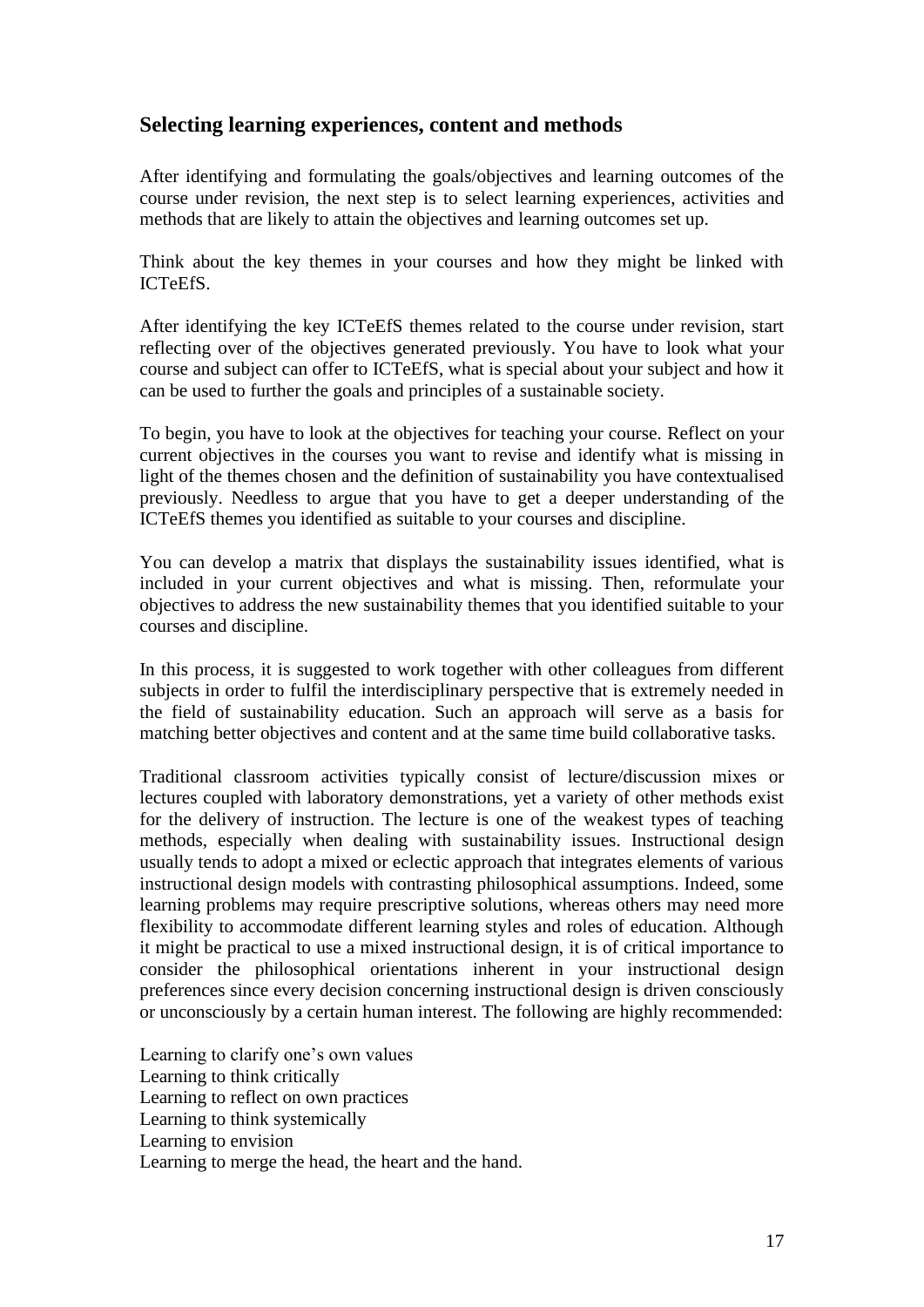### **Selecting learning experiences, content and methods**

After identifying and formulating the goals/objectives and learning outcomes of the course under revision, the next step is to select learning experiences, activities and methods that are likely to attain the objectives and learning outcomes set up.

Think about the key themes in your courses and how they might be linked with ICTeEfS.

After identifying the key ICTeEfS themes related to the course under revision, start reflecting over of the objectives generated previously. You have to look what your course and subject can offer to ICTeEfS, what is special about your subject and how it can be used to further the goals and principles of a sustainable society.

To begin, you have to look at the objectives for teaching your course. Reflect on your current objectives in the courses you want to revise and identify what is missing in light of the themes chosen and the definition of sustainability you have contextualised previously. Needless to argue that you have to get a deeper understanding of the ICTeEfS themes you identified as suitable to your courses and discipline.

You can develop a matrix that displays the sustainability issues identified, what is included in your current objectives and what is missing. Then, reformulate your objectives to address the new sustainability themes that you identified suitable to your courses and discipline.

In this process, it is suggested to work together with other colleagues from different subjects in order to fulfil the interdisciplinary perspective that is extremely needed in the field of sustainability education. Such an approach will serve as a basis for matching better objectives and content and at the same time build collaborative tasks.

Traditional classroom activities typically consist of lecture/discussion mixes or lectures coupled with laboratory demonstrations, yet a variety of other methods exist for the delivery of instruction. The lecture is one of the weakest types of teaching methods, especially when dealing with sustainability issues. Instructional design usually tends to adopt a mixed or eclectic approach that integrates elements of various instructional design models with contrasting philosophical assumptions. Indeed, some learning problems may require prescriptive solutions, whereas others may need more flexibility to accommodate different learning styles and roles of education. Although it might be practical to use a mixed instructional design, it is of critical importance to consider the philosophical orientations inherent in your instructional design preferences since every decision concerning instructional design is driven consciously or unconsciously by a certain human interest. The following are highly recommended:

Learning to clarify one's own values Learning to think critically Learning to reflect on own practices Learning to think systemically Learning to envision Learning to merge the head, the heart and the hand.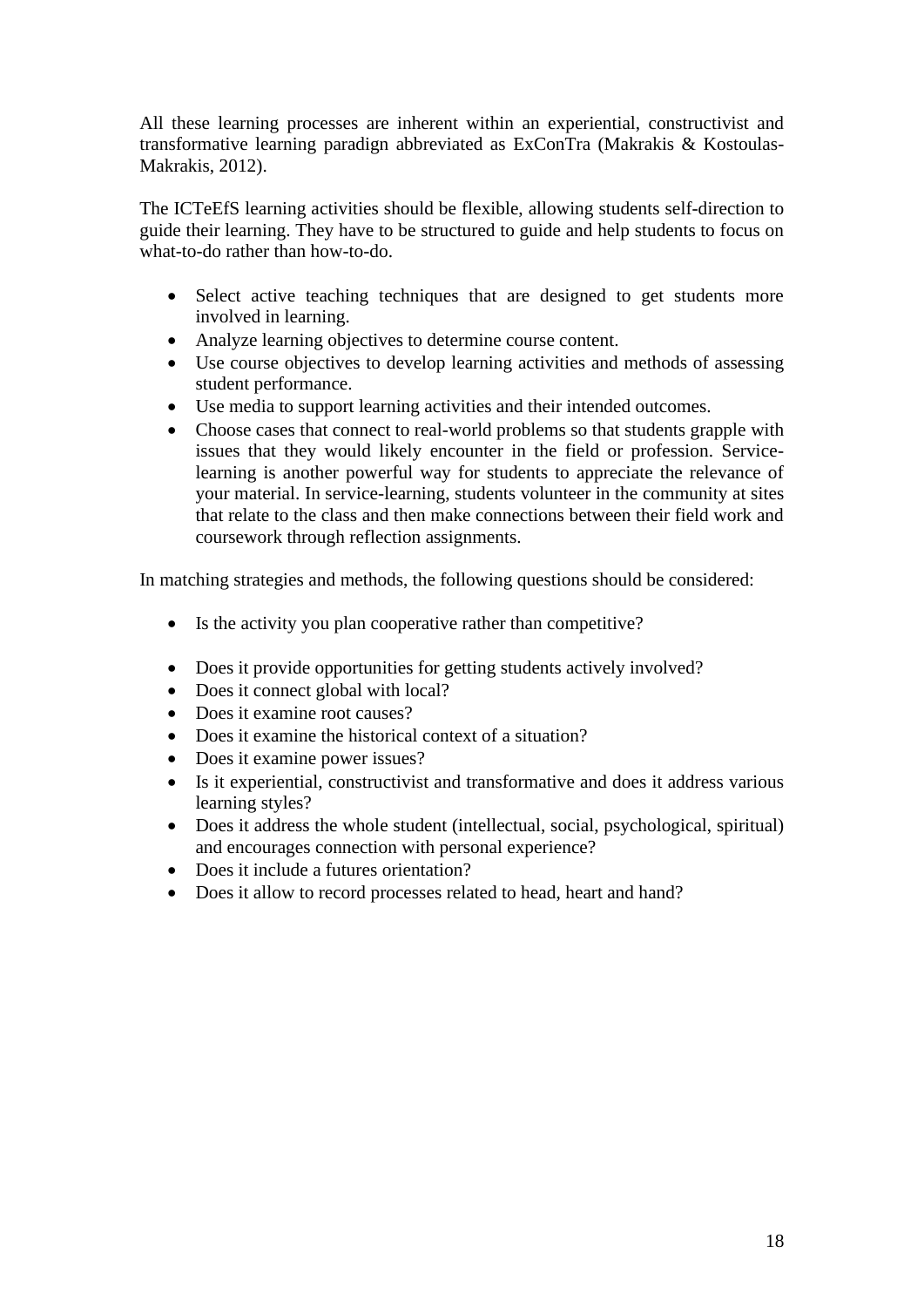All these learning processes are inherent within an experiential, constructivist and transformative learning paradign abbreviated as ExConTra (Makrakis & Kostoulas-Makrakis, 2012).

The ICTeEfS learning activities should be flexible, allowing students self-direction to guide their learning. They have to be structured to guide and help students to focus on what-to-do rather than how-to-do.

- Select active teaching techniques that are designed to get students more involved in learning.
- Analyze learning objectives to determine course content.
- Use course objectives to develop learning activities and methods of assessing student performance.
- Use media to support learning activities and their intended outcomes.
- Choose cases that connect to real-world problems so that students grapple with issues that they would likely encounter in the field or profession. Servicelearning is another powerful way for students to appreciate the relevance of your material. In service-learning, students volunteer in the community at sites that relate to the class and then make connections between their field work and coursework through reflection assignments.

In matching strategies and methods, the following questions should be considered:

- Is the activity you plan cooperative rather than competitive?
- Does it provide opportunities for getting students actively involved?
- Does it connect global with local?
- Does it examine root causes?
- Does it examine the historical context of a situation?
- Does it examine power issues?
- Is it experiential, constructivist and transformative and does it address various learning styles?
- Does it address the whole student (intellectual, social, psychological, spiritual) and encourages connection with personal experience?
- Does it include a futures orientation?
- Does it allow to record processes related to head, heart and hand?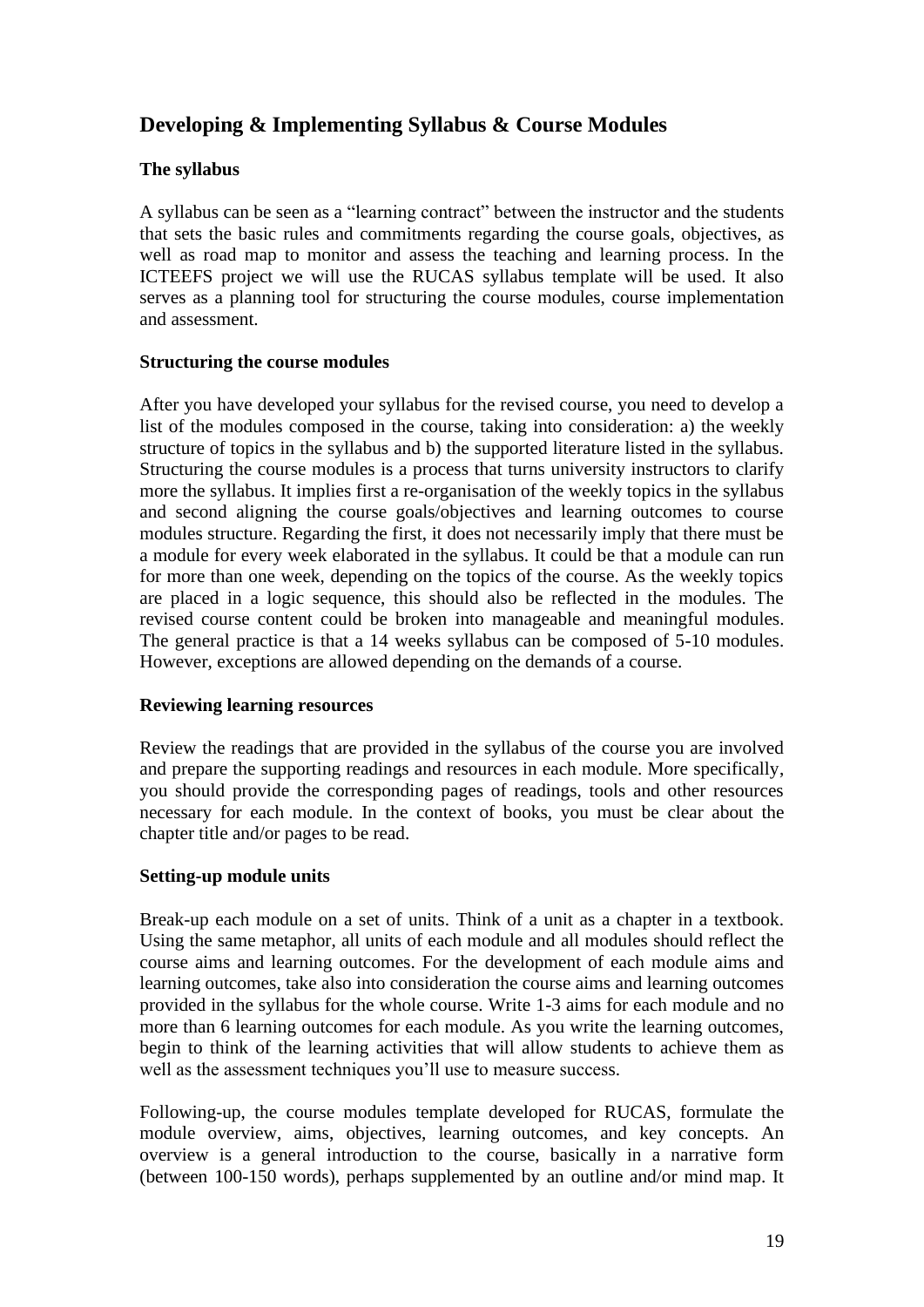## **Developing & Implementing Syllabus & Course Modules**

#### **The syllabus**

A syllabus can be seen as a "learning contract" between the instructor and the students that sets the basic rules and commitments regarding the course goals, objectives, as well as road map to monitor and assess the teaching and learning process. In the ICTEEFS project we will use the RUCAS syllabus template will be used. It also serves as a planning tool for structuring the course modules, course implementation and assessment.

#### **Structuring the course modules**

After you have developed your syllabus for the revised course, you need to develop a list of the modules composed in the course, taking into consideration: a) the weekly structure of topics in the syllabus and b) the supported literature listed in the syllabus. Structuring the course modules is a process that turns university instructors to clarify more the syllabus. It implies first a re-organisation of the weekly topics in the syllabus and second aligning the course goals/objectives and learning outcomes to course modules structure. Regarding the first, it does not necessarily imply that there must be a module for every week elaborated in the syllabus. It could be that a module can run for more than one week, depending on the topics of the course. As the weekly topics are placed in a logic sequence, this should also be reflected in the modules. The revised course content could be broken into manageable and meaningful modules. The general practice is that a 14 weeks syllabus can be composed of 5-10 modules. However, exceptions are allowed depending on the demands of a course.

#### **Reviewing learning resources**

Review the readings that are provided in the syllabus of the course you are involved and prepare the supporting readings and resources in each module. More specifically, you should provide the corresponding pages of readings, tools and other resources necessary for each module. In the context of books, you must be clear about the chapter title and/or pages to be read.

#### **Setting-up module units**

Break-up each module on a set of units. Think of a unit as a chapter in a textbook. Using the same metaphor, all units of each module and all modules should reflect the course aims and learning outcomes. For the development of each module aims and learning outcomes, take also into consideration the course aims and learning outcomes provided in the syllabus for the whole course. Write 1-3 aims for each module and no more than 6 learning outcomes for each module. As you write the learning outcomes, begin to think of the learning activities that will allow students to achieve them as well as the assessment techniques you'll use to measure success.

Following-up, the course modules template developed for RUCAS, formulate the module overview, aims, objectives, learning outcomes, and key concepts. An overview is a general introduction to the course, basically in a narrative form (between 100-150 words), perhaps supplemented by an outline and/or mind map. It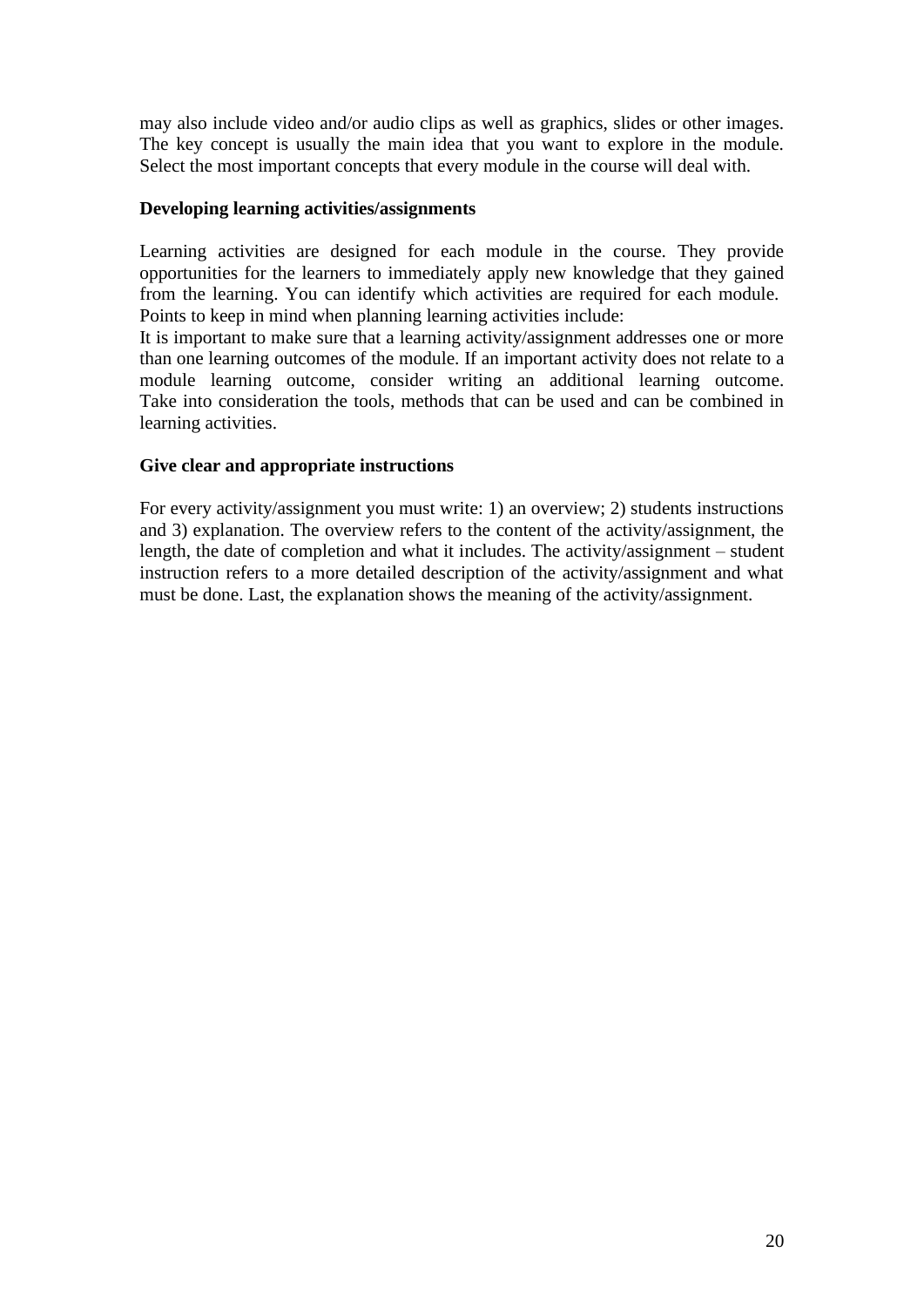may also include video and/or audio clips as well as graphics, slides or other images. The key concept is usually the main idea that you want to explore in the module. Select the most important concepts that every module in the course will deal with.

#### **Developing learning activities/assignments**

Learning activities are designed for each module in the course. They provide opportunities for the learners to immediately apply new knowledge that they gained from the learning. You can identify which activities are required for each module. Points to keep in mind when planning learning activities include:

It is important to make sure that a learning activity/assignment addresses one or more than one learning outcomes of the module. If an important activity does not relate to a module learning outcome, consider writing an additional learning outcome. Take into consideration the tools, methods that can be used and can be combined in learning activities.

#### **Give clear and appropriate instructions**

For every activity/assignment you must write: 1) an overview; 2) students instructions and 3) explanation. The overview refers to the content of the activity/assignment, the length, the date of completion and what it includes. The activity/assignment – student instruction refers to a more detailed description of the activity/assignment and what must be done. Last, the explanation shows the meaning of the activity/assignment.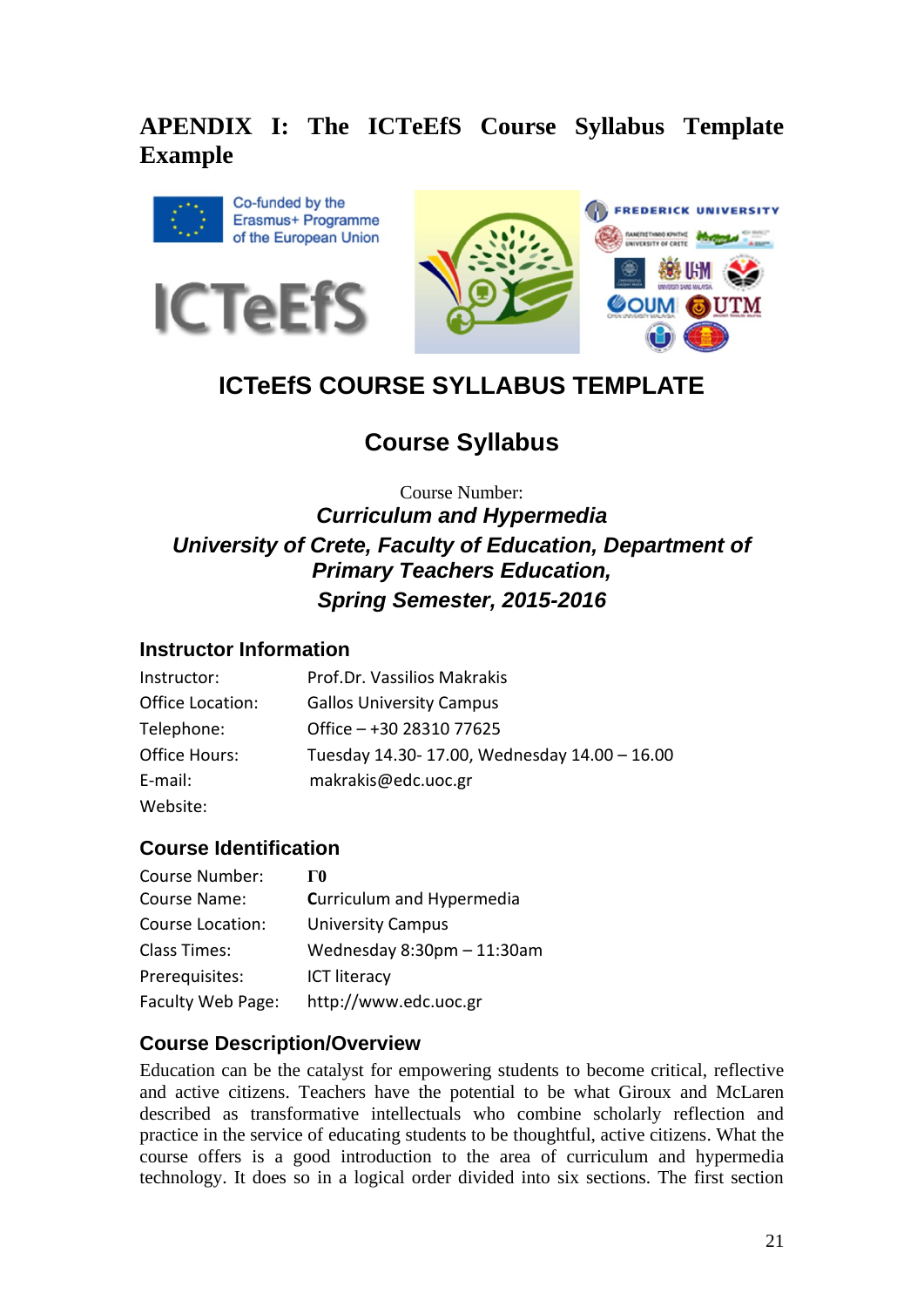## **APENDIX I: The ICTeEfS Course Syllabus Template Example**







## **ICTeEfS COURSE SYLLABUS TEMPLATE**

## **Course Syllabus**

## Course Number: *Curriculum and Hypermedia University of Crete, Faculty of Education, Department of Primary Teachers Education, Spring Semester, 2015-2016*

## **Instructor Information**

| Instructor:      | Prof.Dr. Vassilios Makrakis                  |
|------------------|----------------------------------------------|
| Office Location: | <b>Gallos University Campus</b>              |
| Telephone:       | Office $-+30$ 28310 77625                    |
| Office Hours:    | Tuesday 14.30-17.00, Wednesday 14.00 - 16.00 |
| E-mail:          | makrakis@edc.uoc.gr                          |
| Website:         |                                              |

### **Course Identification**

| Course Number:          | ГO                              |
|-------------------------|---------------------------------|
| Course Name:            | Curriculum and Hypermedia       |
| <b>Course Location:</b> | <b>University Campus</b>        |
| Class Times:            | Wednesday $8:30$ pm $-11:30$ am |
| Prerequisites:          | <b>ICT literacy</b>             |
| Faculty Web Page:       | http://www.edc.uoc.gr           |

## **Course Description/Overview**

Education can be the catalyst for empowering students to become critical, reflective and active citizens. Teachers have the potential to be what Giroux and McLaren described as transformative intellectuals who combine scholarly reflection and practice in the service of educating students to be thoughtful, active citizens. What the course offers is a good introduction to the area of curriculum and hypermedia technology. It does so in a logical order divided into six sections. The first section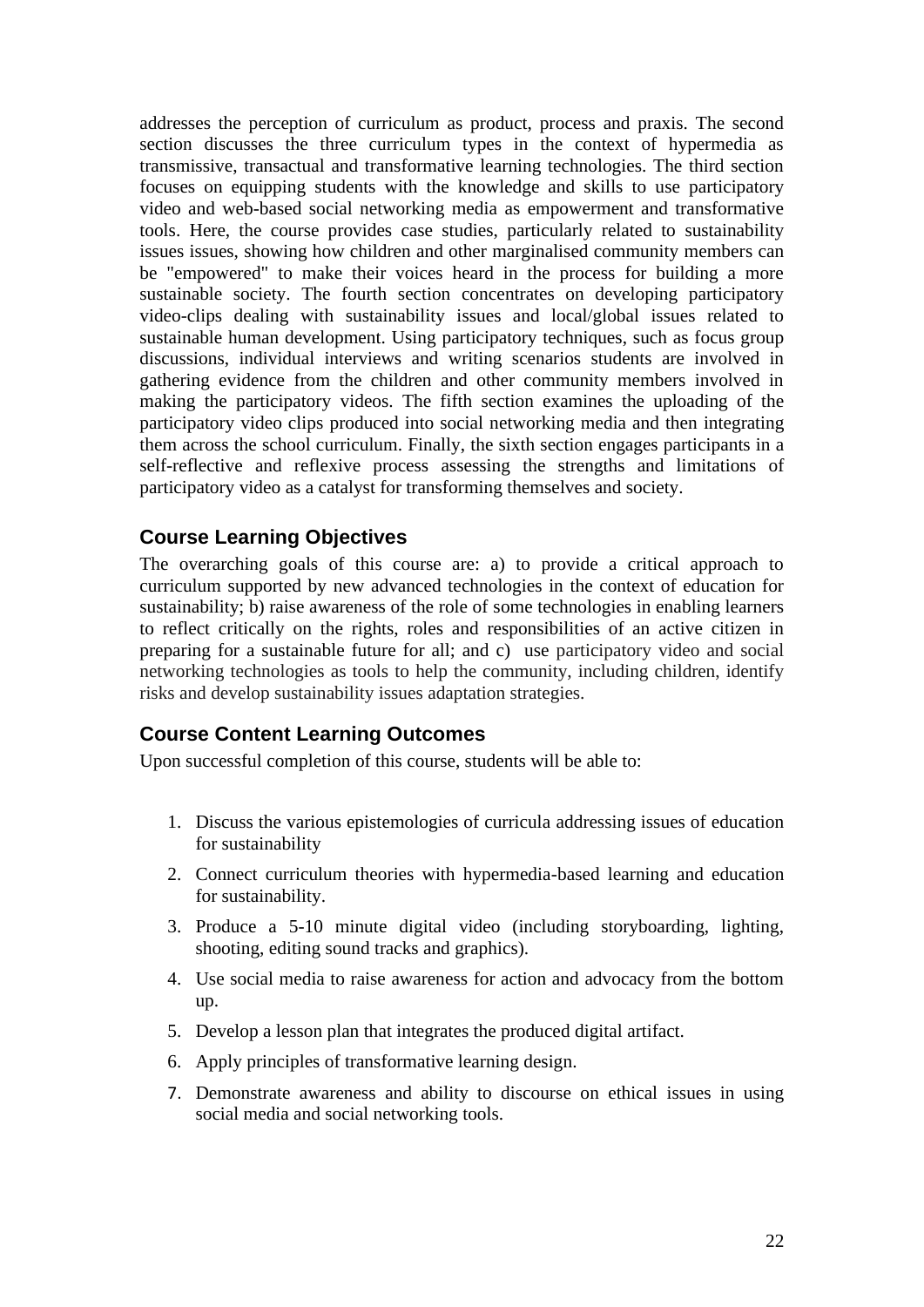addresses the perception of curriculum as product, process and praxis. The second section discusses the three curriculum types in the context of hypermedia as transmissive, transactual and transformative learning technologies. The third section focuses on equipping students with the knowledge and skills to use participatory video and web-based social networking media as empowerment and transformative tools. Here, the course provides case studies, particularly related to sustainability issues issues, showing how children and other marginalised community members can be "empowered" to make their voices heard in the process for building a more sustainable society. The fourth section concentrates on developing participatory video-clips dealing with sustainability issues and local/global issues related to sustainable human development. Using participatory techniques, such as focus group discussions, individual interviews and writing scenarios students are involved in gathering evidence from the children and other community members involved in making the participatory videos. The fifth section examines the uploading of the participatory video clips produced into social networking media and then integrating them across the school curriculum. Finally, the sixth section engages participants in a self-reflective and reflexive process assessing the strengths and limitations of participatory video as a catalyst for transforming themselves and society.

#### **Course Learning Objectives**

The overarching goals of this course are: a) to provide a critical approach to curriculum supported by new advanced technologies in the context of education for sustainability; b) raise awareness of the role of some technologies in enabling learners to reflect critically on the rights, roles and responsibilities of an active citizen in preparing for a sustainable future for all; and c) use participatory video and social networking technologies as tools to help the community, including children, identify risks and develop sustainability issues adaptation strategies.

### **Course Content Learning Outcomes**

Upon successful completion of this course, students will be able to:

- 1. Discuss the various epistemologies of curricula addressing issues of education for sustainability
- 2. Connect curriculum theories with hypermedia-based learning and education for sustainability.
- 3. Produce a 5-10 minute digital video (including storyboarding, lighting, shooting, editing sound tracks and graphics).
- 4. Use social media to raise awareness for action and advocacy from the bottom up.
- 5. Develop a lesson plan that integrates the produced digital artifact.
- 6. Apply principles of transformative learning design.
- 7. Demonstrate awareness and ability to discourse on ethical issues in using social media and social networking tools.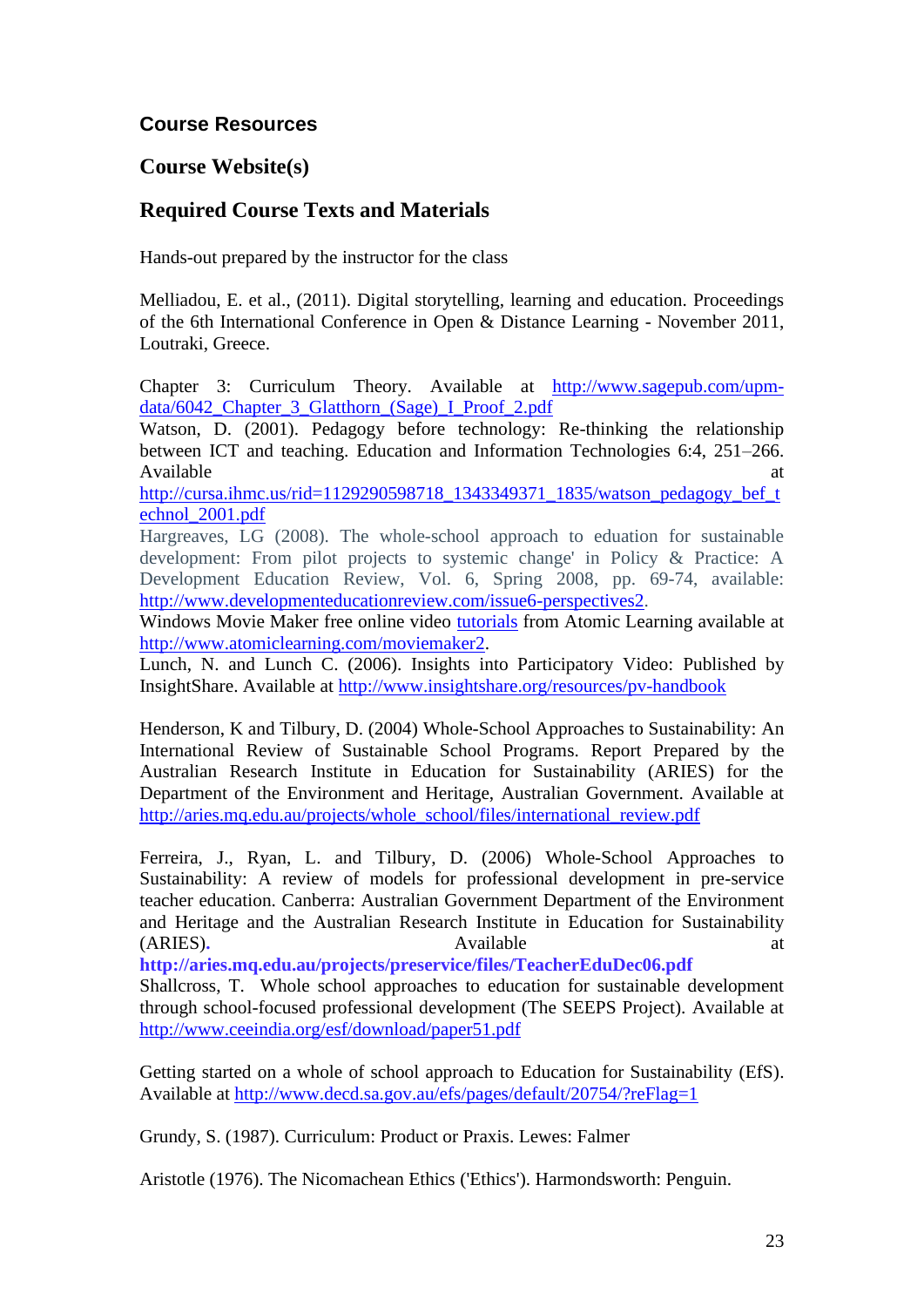## **Course Resources**

### **Course Website(s)**

## **Required Course Texts and Materials**

Hands-out prepared by the instructor for the class

Melliadou, E. et al., (2011). Digital storytelling, learning and education. Proceedings of the 6th International Conference in Open & Distance Learning - November 2011, Loutraki, Greece.

Chapter 3: Curriculum Theory. Available at [http://www.sagepub.com/upm](http://www.sagepub.com/upm-data/6042_Chapter_3_Glatthorn_(Sage)_I_Proof_2.pdf)data/6042 Chapter 3 Glatthorn (Sage) I Proof 2.pdf

Watson, D. (2001). Pedagogy before technology: Re-thinking the relationship between ICT and teaching. Education and Information Technologies 6:4, 251–266. Available at a structure of the structure of the structure of the structure of the structure of the structure of the structure of the structure of the structure of the structure of the structure of the structure of the str

[http://cursa.ihmc.us/rid=1129290598718\\_1343349371\\_1835/watson\\_pedagogy\\_bef\\_t](http://cursa.ihmc.us/rid=1129290598718_1343349371_1835/watson_pedagogy_bef_technol_2001.pdf) [echnol\\_2001.pdf](http://cursa.ihmc.us/rid=1129290598718_1343349371_1835/watson_pedagogy_bef_technol_2001.pdf)

Hargreaves, LG (2008). The whole-school approach to eduation for sustainable development: From pilot projects to systemic change' in Policy & Practice: A Development Education Review, Vol. 6, Spring 2008, pp. 69-74, available: [http://www.developmenteducationreview.com/issue6-perspectives2.](http://www.developmenteducationreview.com/issue6-perspectives2)

Windows Movie Maker free online video [tutorials](http://www.atomiclearning.com/moviemaker2) from Atomic Learning available at [http://www.atomiclearning.com/moviemaker2.](http://www.atomiclearning.com/moviemaker2)

Lunch, N. and Lunch C. (2006). Insights into Participatory Video: Published by InsightShare. Available at<http://www.insightshare.org/resources/pv-handbook>

Henderson, K and Tilbury, D. (2004) Whole-School Approaches to Sustainability: An International Review of Sustainable School Programs. Report Prepared by the Australian Research Institute in Education for Sustainability (ARIES) for the Department of the Environment and Heritage, Australian Government. Available at [http://aries.mq.edu.au/projects/whole\\_school/files/international\\_review.pdf](http://aries.mq.edu.au/projects/whole_school/files/international_review.pdf)

Ferreira, J., Ryan, L. and Tilbury, D. (2006) Whole-School Approaches to Sustainability: A review of models for professional development in pre-service teacher education. Canberra: Australian Government Department of the Environment and Heritage and the Australian Research Institute in Education for Sustainability (ARIES). Available at  $\alpha$ 

**http://aries.mq.edu.au/projects/preservice/files/TeacherEduDec06.pdf**

Shallcross, T. Whole school approaches to education for sustainable development through school-focused professional development (The SEEPS Project). Available at <http://www.ceeindia.org/esf/download/paper51.pdf>

Getting started on a whole of school approach to Education for Sustainability (EfS). Available at <http://www.decd.sa.gov.au/efs/pages/default/20754/?reFlag=1>

Grundy, S. (1987). Curriculum: Product or Praxis. Lewes: Falmer

Aristotle (1976). The Nicomachean Ethics ('Ethics'). Harmondsworth: Penguin.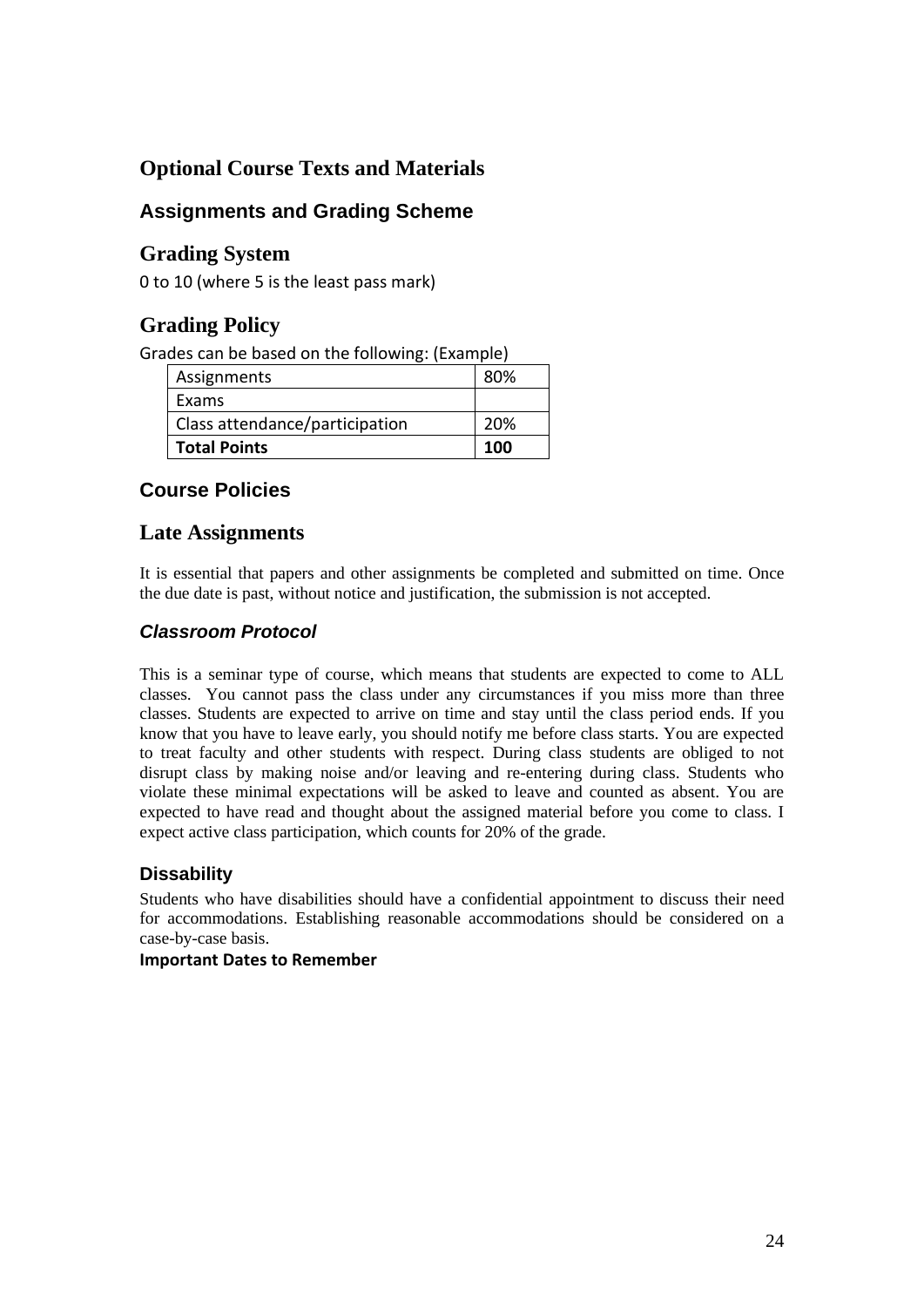## **Optional Course Texts and Materials**

## **Assignments and Grading Scheme**

## **Grading System**

0 to 10 (where 5 is the least pass mark)

## **Grading Policy**

Grades can be based on the following: (Example)

| Assignments                    | 80% |
|--------------------------------|-----|
| Exams                          |     |
| Class attendance/participation | 20% |
| <b>Total Points</b>            | 100 |

## **Course Policies**

## **Late Assignments**

It is essential that papers and other assignments be completed and submitted on time. Once the due date is past, without notice and justification, the submission is not accepted.

### *Classroom Protocol*

This is a seminar type of course, which means that students are expected to come to ALL classes. You cannot pass the class under any circumstances if you miss more than three classes. Students are expected to arrive on time and stay until the class period ends. If you know that you have to leave early, you should notify me before class starts. You are expected to treat faculty and other students with respect. During class students are obliged to not disrupt class by making noise and/or leaving and re-entering during class. Students who violate these minimal expectations will be asked to leave and counted as absent. You are expected to have read and thought about the assigned material before you come to class. I expect active class participation, which counts for 20% of the grade.

### **Dissability**

Students who have disabilities should have a confidential appointment to discuss their need for accommodations. Establishing reasonable accommodations should be considered on a case-by-case basis.

#### **Important Dates to Remember**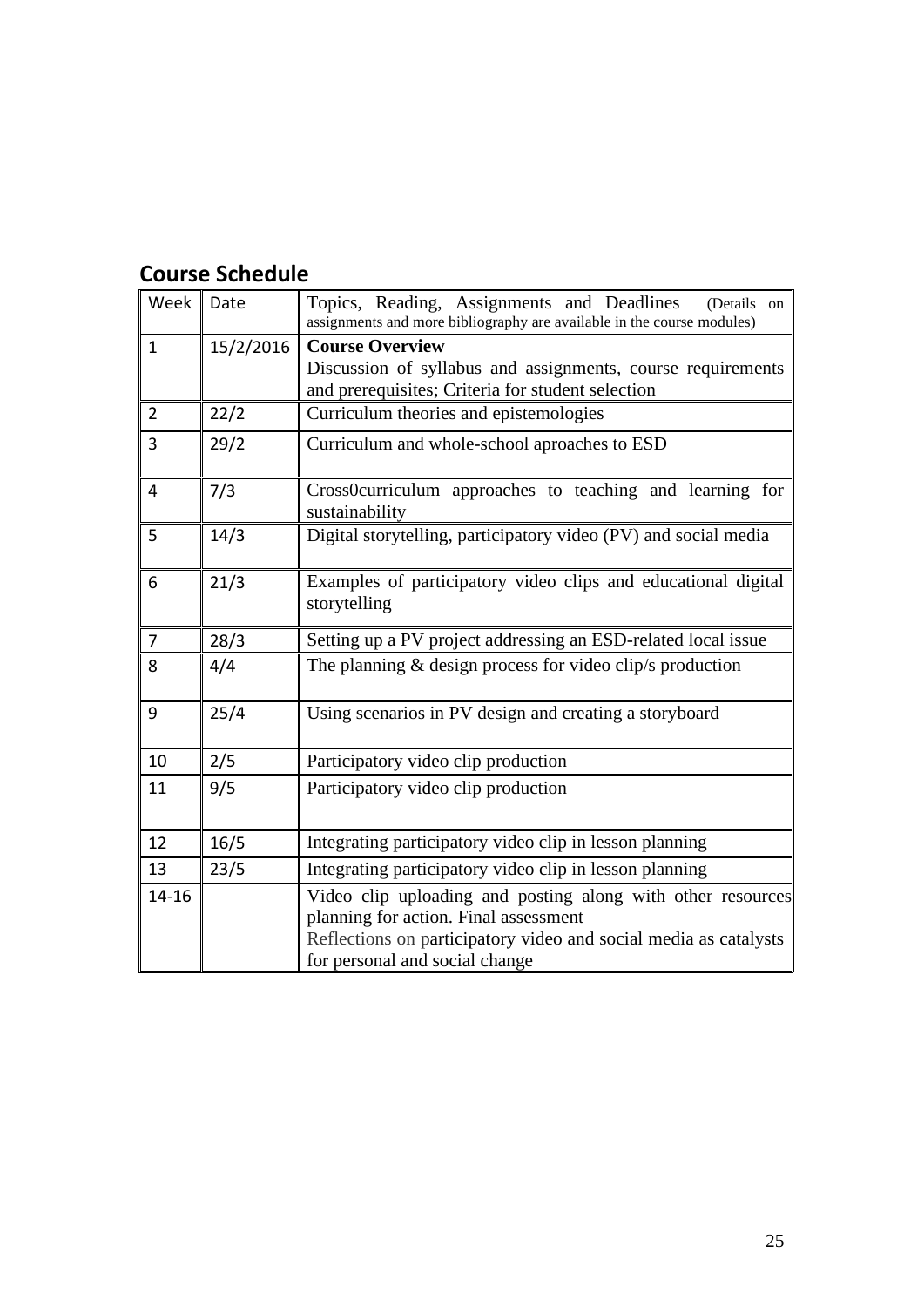## **Course Schedule**

| Week           | Date      | Topics, Reading, Assignments and Deadlines<br>(Details on<br>assignments and more bibliography are available in the course modules)                                                                        |
|----------------|-----------|------------------------------------------------------------------------------------------------------------------------------------------------------------------------------------------------------------|
| $\mathbf{1}$   | 15/2/2016 | <b>Course Overview</b><br>Discussion of syllabus and assignments, course requirements<br>and prerequisites; Criteria for student selection                                                                 |
| $\overline{2}$ | 22/2      | Curriculum theories and epistemologies                                                                                                                                                                     |
| 3              | 29/2      | Curriculum and whole-school aproaches to ESD                                                                                                                                                               |
| 4              | 7/3       | Cross0curriculum approaches to teaching and learning for<br>sustainability                                                                                                                                 |
| 5              | 14/3      | Digital storytelling, participatory video (PV) and social media                                                                                                                                            |
| 6              | 21/3      | Examples of participatory video clips and educational digital<br>storytelling                                                                                                                              |
| $\overline{7}$ | 28/3      | Setting up a PV project addressing an ESD-related local issue                                                                                                                                              |
| 8              | 4/4       | The planning $&$ design process for video clip's production                                                                                                                                                |
| 9              | 25/4      | Using scenarios in PV design and creating a storyboard                                                                                                                                                     |
| 10             | 2/5       | Participatory video clip production                                                                                                                                                                        |
| 11             | 9/5       | Participatory video clip production                                                                                                                                                                        |
| 12             | 16/5      | Integrating participatory video clip in lesson planning                                                                                                                                                    |
| 13             | 23/5      | Integrating participatory video clip in lesson planning                                                                                                                                                    |
| $14 - 16$      |           | Video clip uploading and posting along with other resources<br>planning for action. Final assessment<br>Reflections on participatory video and social media as catalysts<br>for personal and social change |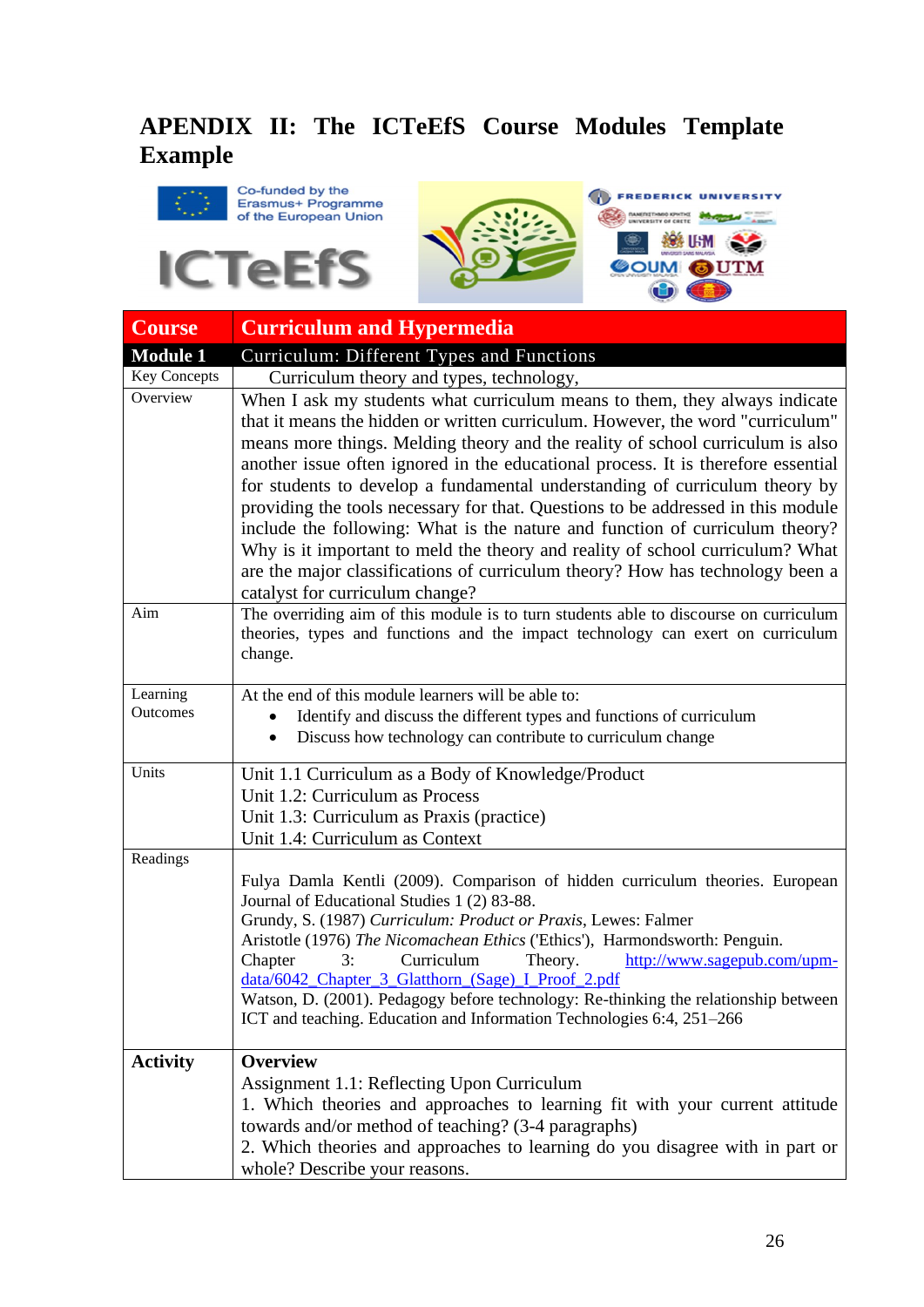## **APENDIX II: The ICTeEfS Course Modules Template Example**





| <b>Course</b>        | <b>Curriculum and Hypermedia</b>                                                                                                                                                                                                                                                                                                                                                                                                                                                                                                                                                                                                                                                                                                                                                            |
|----------------------|---------------------------------------------------------------------------------------------------------------------------------------------------------------------------------------------------------------------------------------------------------------------------------------------------------------------------------------------------------------------------------------------------------------------------------------------------------------------------------------------------------------------------------------------------------------------------------------------------------------------------------------------------------------------------------------------------------------------------------------------------------------------------------------------|
| <b>Module 1</b>      | Curriculum: Different Types and Functions                                                                                                                                                                                                                                                                                                                                                                                                                                                                                                                                                                                                                                                                                                                                                   |
| Key Concepts         | Curriculum theory and types, technology,                                                                                                                                                                                                                                                                                                                                                                                                                                                                                                                                                                                                                                                                                                                                                    |
| Overview             | When I ask my students what curriculum means to them, they always indicate<br>that it means the hidden or written curriculum. However, the word "curriculum"<br>means more things. Melding theory and the reality of school curriculum is also<br>another issue often ignored in the educational process. It is therefore essential<br>for students to develop a fundamental understanding of curriculum theory by<br>providing the tools necessary for that. Questions to be addressed in this module<br>include the following: What is the nature and function of curriculum theory?<br>Why is it important to meld the theory and reality of school curriculum? What<br>are the major classifications of curriculum theory? How has technology been a<br>catalyst for curriculum change? |
| Aim                  | The overriding aim of this module is to turn students able to discourse on curriculum<br>theories, types and functions and the impact technology can exert on curriculum<br>change.                                                                                                                                                                                                                                                                                                                                                                                                                                                                                                                                                                                                         |
| Learning<br>Outcomes | At the end of this module learners will be able to:<br>Identify and discuss the different types and functions of curriculum                                                                                                                                                                                                                                                                                                                                                                                                                                                                                                                                                                                                                                                                 |
|                      | Discuss how technology can contribute to curriculum change<br>٠                                                                                                                                                                                                                                                                                                                                                                                                                                                                                                                                                                                                                                                                                                                             |
| Units                | Unit 1.1 Curriculum as a Body of Knowledge/Product                                                                                                                                                                                                                                                                                                                                                                                                                                                                                                                                                                                                                                                                                                                                          |
|                      | Unit 1.2: Curriculum as Process                                                                                                                                                                                                                                                                                                                                                                                                                                                                                                                                                                                                                                                                                                                                                             |
|                      | Unit 1.3: Curriculum as Praxis (practice)                                                                                                                                                                                                                                                                                                                                                                                                                                                                                                                                                                                                                                                                                                                                                   |
|                      | Unit 1.4: Curriculum as Context                                                                                                                                                                                                                                                                                                                                                                                                                                                                                                                                                                                                                                                                                                                                                             |
| Readings             | Fulya Damla Kentli (2009). Comparison of hidden curriculum theories. European<br>Journal of Educational Studies 1 (2) 83-88.<br>Grundy, S. (1987) Curriculum: Product or Praxis, Lewes: Falmer<br>Aristotle (1976) The Nicomachean Ethics ('Ethics'), Harmondsworth: Penguin.<br>http://www.sagepub.com/upm-<br>Chapter<br>3:<br>Curriculum<br>Theory.<br>data/6042_Chapter_3_Glatthorn_(Sage)_I_Proof_2.pdf<br>Watson, D. (2001). Pedagogy before technology: Re-thinking the relationship between<br>ICT and teaching. Education and Information Technologies 6:4, 251-266                                                                                                                                                                                                                |
| <b>Activity</b>      | <b>Overview</b><br>Assignment 1.1: Reflecting Upon Curriculum<br>1. Which theories and approaches to learning fit with your current attitude<br>towards and/or method of teaching? (3-4 paragraphs)<br>2. Which theories and approaches to learning do you disagree with in part or<br>whole? Describe your reasons.                                                                                                                                                                                                                                                                                                                                                                                                                                                                        |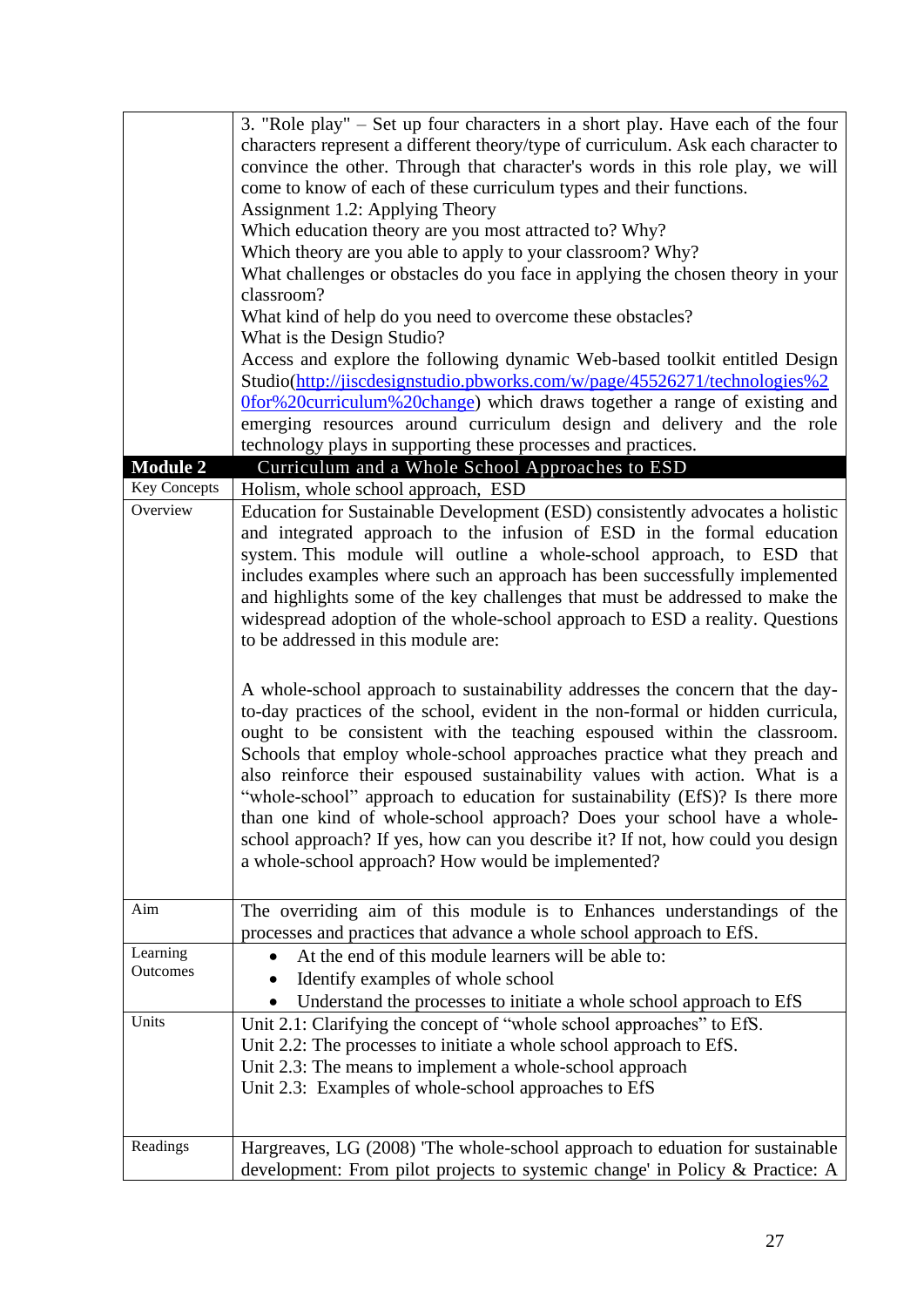|                      | 3. "Role play" – Set up four characters in a short play. Have each of the four<br>characters represent a different theory/type of curriculum. Ask each character to<br>convince the other. Through that character's words in this role play, we will |
|----------------------|------------------------------------------------------------------------------------------------------------------------------------------------------------------------------------------------------------------------------------------------------|
|                      | come to know of each of these curriculum types and their functions.                                                                                                                                                                                  |
|                      | Assignment 1.2: Applying Theory                                                                                                                                                                                                                      |
|                      | Which education theory are you most attracted to? Why?                                                                                                                                                                                               |
|                      | Which theory are you able to apply to your classroom? Why?                                                                                                                                                                                           |
|                      | What challenges or obstacles do you face in applying the chosen theory in your                                                                                                                                                                       |
|                      | classroom?                                                                                                                                                                                                                                           |
|                      | What kind of help do you need to overcome these obstacles?                                                                                                                                                                                           |
|                      | What is the Design Studio?                                                                                                                                                                                                                           |
|                      | Access and explore the following dynamic Web-based toolkit entitled Design                                                                                                                                                                           |
|                      | Studio(http://jiscdesignstudio.pbworks.com/w/page/45526271/technologies%2                                                                                                                                                                            |
|                      | Ofor%20curriculum%20change) which draws together a range of existing and                                                                                                                                                                             |
|                      | emerging resources around curriculum design and delivery and the role<br>technology plays in supporting these processes and practices.                                                                                                               |
| <b>Module 2</b>      | Curriculum and a Whole School Approaches to ESD                                                                                                                                                                                                      |
| Key Concepts         | Holism, whole school approach, ESD                                                                                                                                                                                                                   |
| Overview             | Education for Sustainable Development (ESD) consistently advocates a holistic                                                                                                                                                                        |
|                      | and integrated approach to the infusion of ESD in the formal education                                                                                                                                                                               |
|                      | system. This module will outline a whole-school approach, to ESD that                                                                                                                                                                                |
|                      | includes examples where such an approach has been successfully implemented                                                                                                                                                                           |
|                      | and highlights some of the key challenges that must be addressed to make the                                                                                                                                                                         |
|                      | widespread adoption of the whole-school approach to ESD a reality. Questions                                                                                                                                                                         |
|                      | to be addressed in this module are:                                                                                                                                                                                                                  |
|                      |                                                                                                                                                                                                                                                      |
|                      | A whole-school approach to sustainability addresses the concern that the day-                                                                                                                                                                        |
|                      | to-day practices of the school, evident in the non-formal or hidden curricula,                                                                                                                                                                       |
|                      | ought to be consistent with the teaching espoused within the classroom.                                                                                                                                                                              |
|                      | Schools that employ whole-school approaches practice what they preach and                                                                                                                                                                            |
|                      | also reinforce their espoused sustainability values with action. What is a                                                                                                                                                                           |
|                      | "whole-school" approach to education for sustainability (EfS)? Is there more                                                                                                                                                                         |
|                      | than one kind of whole-school approach? Does your school have a whole-                                                                                                                                                                               |
|                      | school approach? If yes, how can you describe it? If not, how could you design                                                                                                                                                                       |
|                      | a whole-school approach? How would be implemented?                                                                                                                                                                                                   |
|                      |                                                                                                                                                                                                                                                      |
| Aim                  | The overriding aim of this module is to Enhances understandings of the                                                                                                                                                                               |
|                      | processes and practices that advance a whole school approach to EfS.                                                                                                                                                                                 |
| Learning<br>Outcomes | At the end of this module learners will be able to:                                                                                                                                                                                                  |
|                      | Identify examples of whole school                                                                                                                                                                                                                    |
|                      | Understand the processes to initiate a whole school approach to EfS                                                                                                                                                                                  |
| Units                | Unit 2.1: Clarifying the concept of "whole school approaches" to EfS.                                                                                                                                                                                |
|                      | Unit 2.2: The processes to initiate a whole school approach to EfS.                                                                                                                                                                                  |
|                      | Unit 2.3: The means to implement a whole-school approach                                                                                                                                                                                             |
|                      | Unit 2.3: Examples of whole-school approaches to EfS                                                                                                                                                                                                 |
|                      |                                                                                                                                                                                                                                                      |
| Readings             | Hargreaves, LG (2008) The whole-school approach to eduation for sustainable                                                                                                                                                                          |
|                      | development: From pilot projects to systemic change' in Policy & Practice: A                                                                                                                                                                         |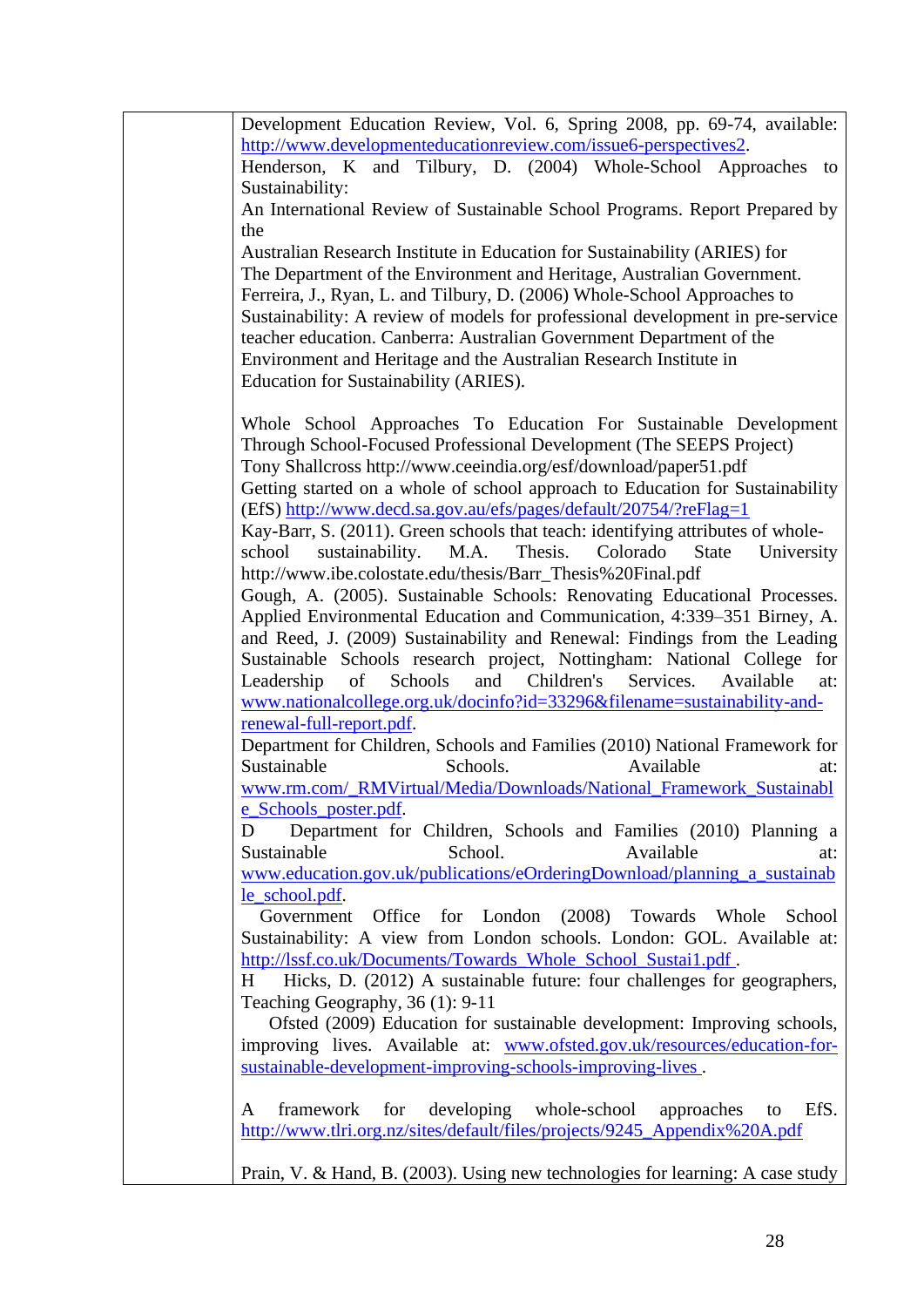| Development Education Review, Vol. 6, Spring 2008, pp. 69-74, available:                                                          |
|-----------------------------------------------------------------------------------------------------------------------------------|
| http://www.developmenteducationreview.com/issue6-perspectives2.                                                                   |
| Henderson, K and Tilbury, D. (2004) Whole-School Approaches to                                                                    |
| Sustainability:                                                                                                                   |
| An International Review of Sustainable School Programs. Report Prepared by                                                        |
| the                                                                                                                               |
| Australian Research Institute in Education for Sustainability (ARIES) for                                                         |
| The Department of the Environment and Heritage, Australian Government.                                                            |
| Ferreira, J., Ryan, L. and Tilbury, D. (2006) Whole-School Approaches to                                                          |
| Sustainability: A review of models for professional development in pre-service                                                    |
| teacher education. Canberra: Australian Government Department of the                                                              |
| Environment and Heritage and the Australian Research Institute in                                                                 |
| Education for Sustainability (ARIES).                                                                                             |
|                                                                                                                                   |
| Whole School Approaches To Education For Sustainable Development                                                                  |
| Through School-Focused Professional Development (The SEEPS Project)                                                               |
| Tony Shallcross http://www.ceeindia.org/esf/download/paper51.pdf                                                                  |
| Getting started on a whole of school approach to Education for Sustainability                                                     |
| (EfS) http://www.decd.sa.gov.au/efs/pages/default/20754/?reFlag=1                                                                 |
| Kay-Barr, S. (2011). Green schools that teach: identifying attributes of whole-                                                   |
| sustainability.<br>M.A.<br>Thesis.<br>Colorado<br>University<br>school<br><b>State</b>                                            |
| http://www.ibe.colostate.edu/thesis/Barr_Thesis%20Final.pdf                                                                       |
| Gough, A. (2005). Sustainable Schools: Renovating Educational Processes.                                                          |
| Applied Environmental Education and Communication, 4:339–351 Birney, A.                                                           |
| and Reed, J. (2009) Sustainability and Renewal: Findings from the Leading                                                         |
|                                                                                                                                   |
| Sustainable Schools research project, Nottingham: National College for<br>Schools<br>and Children's Services.<br>Available<br>at: |
| Leadership<br>of                                                                                                                  |
| www.nationalcollege.org.uk/docinfo?id=33296&filename=sustainability-and-<br>renewal-full-report.pdf.                              |
| Department for Children, Schools and Families (2010) National Framework for                                                       |
| Sustainable<br>Schools.<br>Available                                                                                              |
| at:                                                                                                                               |
| www.rm.com/_RMVirtual/Media/Downloads/National_Framework_Sustainabl<br>e_Schools_poster.pdf.                                      |
| D                                                                                                                                 |
| Department for Children, Schools and Families (2010) Planning a<br>School.<br>Available                                           |
| Sustainable<br>at:                                                                                                                |
| www.education.gov.uk/publications/eOrderingDownload/planning_a_sustainab                                                          |
| le_school.pdf.                                                                                                                    |
| Government Office for London (2008) Towards Whole<br>School                                                                       |
| Sustainability: A view from London schools. London: GOL. Available at:                                                            |
| http://lssf.co.uk/Documents/Towards_Whole_School_Sustai1.pdf.                                                                     |
| Hicks, D. (2012) A sustainable future: four challenges for geographers,<br>H                                                      |
| Teaching Geography, 36 (1): 9-11                                                                                                  |
| Ofsted (2009) Education for sustainable development: Improving schools,                                                           |
| improving lives. Available at: www.ofsted.gov.uk/resources/education-for-                                                         |
| sustainable-development-improving-schools-improving-lives.                                                                        |
|                                                                                                                                   |
| developing whole-school<br>EfS.<br>framework<br>for<br>approaches<br>A<br>to                                                      |
| http://www.tlri.org.nz/sites/default/files/projects/9245_Appendix%20A.pdf                                                         |
|                                                                                                                                   |
| Prain, V. & Hand, B. (2003). Using new technologies for learning: A case study                                                    |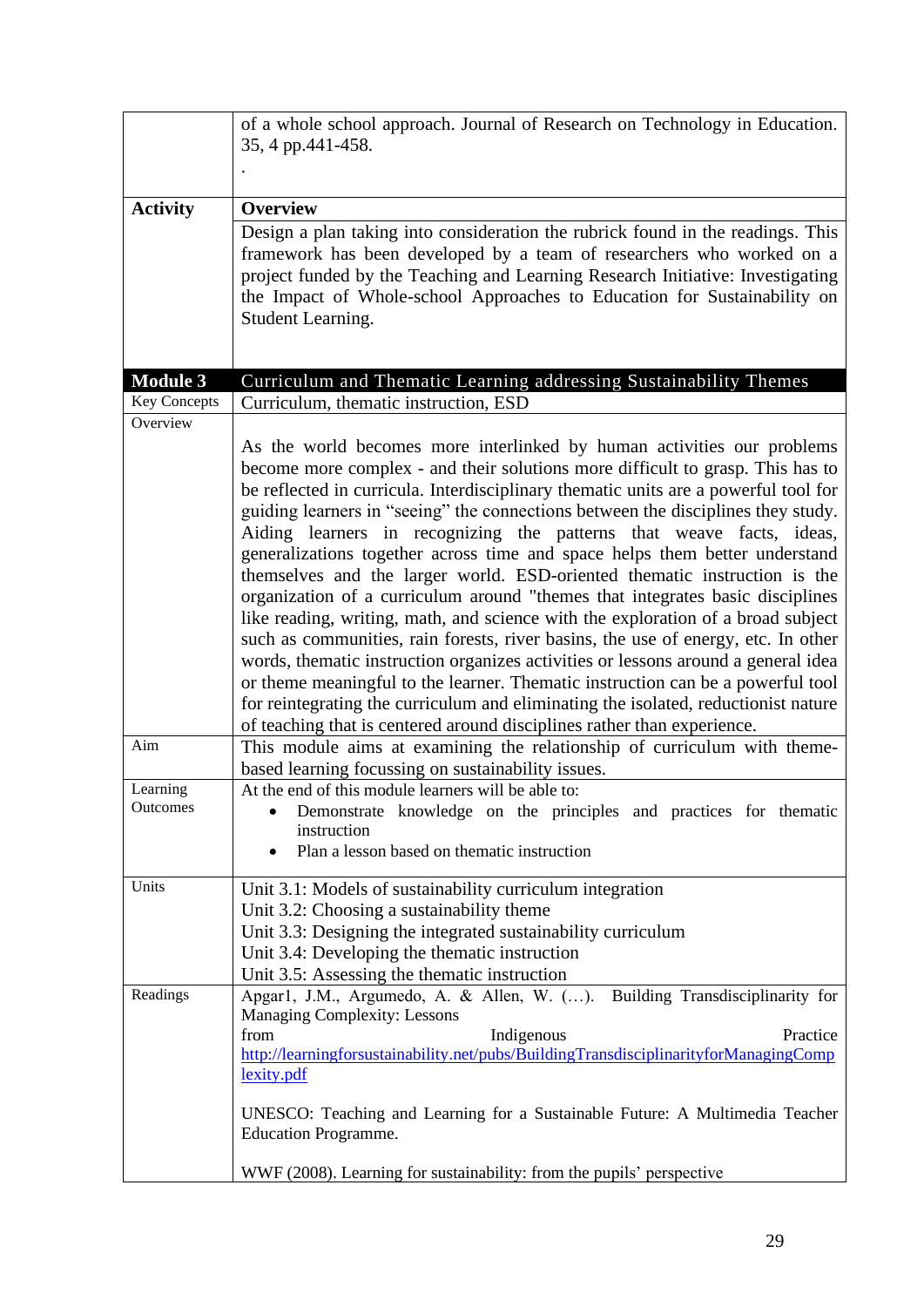|                      | of a whole school approach. Journal of Research on Technology in Education.<br>35, 4 pp.441-458.                                                                                                                                                                                                                                                                                                                                                                                                                                                                                                                                                                                                                                                                                                                                                                                                                                                                                                                                                                                                                                                                                                                                                       |
|----------------------|--------------------------------------------------------------------------------------------------------------------------------------------------------------------------------------------------------------------------------------------------------------------------------------------------------------------------------------------------------------------------------------------------------------------------------------------------------------------------------------------------------------------------------------------------------------------------------------------------------------------------------------------------------------------------------------------------------------------------------------------------------------------------------------------------------------------------------------------------------------------------------------------------------------------------------------------------------------------------------------------------------------------------------------------------------------------------------------------------------------------------------------------------------------------------------------------------------------------------------------------------------|
|                      |                                                                                                                                                                                                                                                                                                                                                                                                                                                                                                                                                                                                                                                                                                                                                                                                                                                                                                                                                                                                                                                                                                                                                                                                                                                        |
| <b>Activity</b>      | <b>Overview</b>                                                                                                                                                                                                                                                                                                                                                                                                                                                                                                                                                                                                                                                                                                                                                                                                                                                                                                                                                                                                                                                                                                                                                                                                                                        |
|                      | Design a plan taking into consideration the rubrick found in the readings. This<br>framework has been developed by a team of researchers who worked on a<br>project funded by the Teaching and Learning Research Initiative: Investigating<br>the Impact of Whole-school Approaches to Education for Sustainability on<br>Student Learning.                                                                                                                                                                                                                                                                                                                                                                                                                                                                                                                                                                                                                                                                                                                                                                                                                                                                                                            |
| <b>Module 3</b>      | Curriculum and Thematic Learning addressing Sustainability Themes                                                                                                                                                                                                                                                                                                                                                                                                                                                                                                                                                                                                                                                                                                                                                                                                                                                                                                                                                                                                                                                                                                                                                                                      |
| <b>Key Concepts</b>  | Curriculum, thematic instruction, ESD                                                                                                                                                                                                                                                                                                                                                                                                                                                                                                                                                                                                                                                                                                                                                                                                                                                                                                                                                                                                                                                                                                                                                                                                                  |
| Overview<br>Aim      | As the world becomes more interlinked by human activities our problems<br>become more complex - and their solutions more difficult to grasp. This has to<br>be reflected in curricula. Interdisciplinary thematic units are a powerful tool for<br>guiding learners in "seeing" the connections between the disciplines they study.<br>Aiding learners in recognizing the patterns that weave facts, ideas,<br>generalizations together across time and space helps them better understand<br>themselves and the larger world. ESD-oriented thematic instruction is the<br>organization of a curriculum around "themes that integrates basic disciplines<br>like reading, writing, math, and science with the exploration of a broad subject<br>such as communities, rain forests, river basins, the use of energy, etc. In other<br>words, thematic instruction organizes activities or lessons around a general idea<br>or theme meaningful to the learner. Thematic instruction can be a powerful tool<br>for reintegrating the curriculum and eliminating the isolated, reductionist nature<br>of teaching that is centered around disciplines rather than experience.<br>This module aims at examining the relationship of curriculum with theme- |
| Learning<br>Outcomes | based learning focussing on sustainability issues.<br>At the end of this module learners will be able to:<br>Demonstrate knowledge on the principles and practices for thematic<br>instruction<br>Plan a lesson based on thematic instruction<br>$\bullet$                                                                                                                                                                                                                                                                                                                                                                                                                                                                                                                                                                                                                                                                                                                                                                                                                                                                                                                                                                                             |
| Units                | Unit 3.1: Models of sustainability curriculum integration<br>Unit 3.2: Choosing a sustainability theme<br>Unit 3.3: Designing the integrated sustainability curriculum<br>Unit 3.4: Developing the thematic instruction<br>Unit 3.5: Assessing the thematic instruction                                                                                                                                                                                                                                                                                                                                                                                                                                                                                                                                                                                                                                                                                                                                                                                                                                                                                                                                                                                |
| Readings             | Apgar1, J.M., Argumedo, A. & Allen, W. (). Building Transdisciplinarity for<br>Managing Complexity: Lessons<br>Indigenous<br>Practice<br>from<br>http://learningforsustainability.net/pubs/BuildingTransdisciplinarityforManagingComp<br>lexity.pdf<br>UNESCO: Teaching and Learning for a Sustainable Future: A Multimedia Teacher<br><b>Education Programme.</b>                                                                                                                                                                                                                                                                                                                                                                                                                                                                                                                                                                                                                                                                                                                                                                                                                                                                                     |
|                      | WWF (2008). Learning for sustainability: from the pupils' perspective                                                                                                                                                                                                                                                                                                                                                                                                                                                                                                                                                                                                                                                                                                                                                                                                                                                                                                                                                                                                                                                                                                                                                                                  |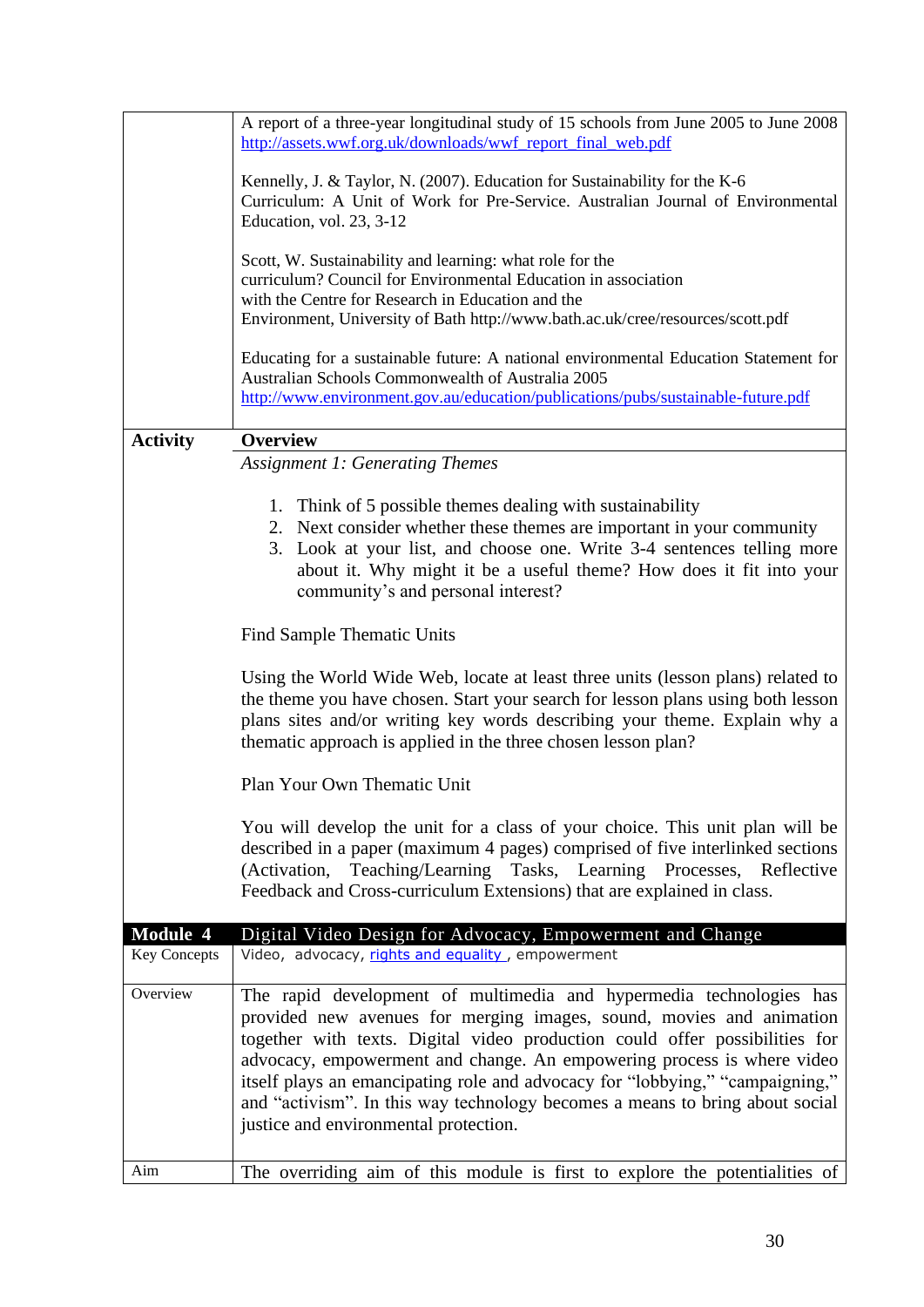|                     | A report of a three-year longitudinal study of 15 schools from June 2005 to June 2008<br>http://assets.wwf.org.uk/downloads/wwf report final web.pdf                                                                                                                                                                                                                                                                                                                                                           |
|---------------------|----------------------------------------------------------------------------------------------------------------------------------------------------------------------------------------------------------------------------------------------------------------------------------------------------------------------------------------------------------------------------------------------------------------------------------------------------------------------------------------------------------------|
|                     | Kennelly, J. & Taylor, N. (2007). Education for Sustainability for the K-6<br>Curriculum: A Unit of Work for Pre-Service. Australian Journal of Environmental<br>Education, vol. 23, 3-12                                                                                                                                                                                                                                                                                                                      |
|                     | Scott, W. Sustainability and learning: what role for the<br>curriculum? Council for Environmental Education in association                                                                                                                                                                                                                                                                                                                                                                                     |
|                     | with the Centre for Research in Education and the<br>Environment, University of Bath http://www.bath.ac.uk/cree/resources/scott.pdf                                                                                                                                                                                                                                                                                                                                                                            |
|                     | Educating for a sustainable future: A national environmental Education Statement for                                                                                                                                                                                                                                                                                                                                                                                                                           |
|                     | Australian Schools Commonwealth of Australia 2005<br>http://www.environment.gov.au/education/publications/pubs/sustainable-future.pdf                                                                                                                                                                                                                                                                                                                                                                          |
| <b>Activity</b>     | <b>Overview</b>                                                                                                                                                                                                                                                                                                                                                                                                                                                                                                |
|                     | <b>Assignment 1: Generating Themes</b>                                                                                                                                                                                                                                                                                                                                                                                                                                                                         |
|                     |                                                                                                                                                                                                                                                                                                                                                                                                                                                                                                                |
|                     | 1. Think of 5 possible themes dealing with sustainability<br>2. Next consider whether these themes are important in your community<br>3. Look at your list, and choose one. Write 3-4 sentences telling more<br>about it. Why might it be a useful theme? How does it fit into your<br>community's and personal interest?                                                                                                                                                                                      |
|                     | Find Sample Thematic Units                                                                                                                                                                                                                                                                                                                                                                                                                                                                                     |
|                     | Using the World Wide Web, locate at least three units (lesson plans) related to<br>the theme you have chosen. Start your search for lesson plans using both lesson<br>plans sites and/or writing key words describing your theme. Explain why a<br>thematic approach is applied in the three chosen lesson plan?                                                                                                                                                                                               |
|                     | Plan Your Own Thematic Unit                                                                                                                                                                                                                                                                                                                                                                                                                                                                                    |
|                     | You will develop the unit for a class of your choice. This unit plan will be<br>described in a paper (maximum 4 pages) comprised of five interlinked sections<br>(Activation, Teaching/Learning Tasks, Learning Processes, Reflective<br>Feedback and Cross-curriculum Extensions) that are explained in class.                                                                                                                                                                                                |
| <b>Module 4</b>     | Digital Video Design for Advocacy, Empowerment and Change                                                                                                                                                                                                                                                                                                                                                                                                                                                      |
| <b>Key Concepts</b> | Video, advocacy, rights and equality, empowerment                                                                                                                                                                                                                                                                                                                                                                                                                                                              |
| Overview            | The rapid development of multimedia and hypermedia technologies has<br>provided new avenues for merging images, sound, movies and animation<br>together with texts. Digital video production could offer possibilities for<br>advocacy, empowerment and change. An empowering process is where video<br>itself plays an emancipating role and advocacy for "lobbying," "campaigning,"<br>and "activism". In this way technology becomes a means to bring about social<br>justice and environmental protection. |
| Aim                 | The overriding aim of this module is first to explore the potentialities of                                                                                                                                                                                                                                                                                                                                                                                                                                    |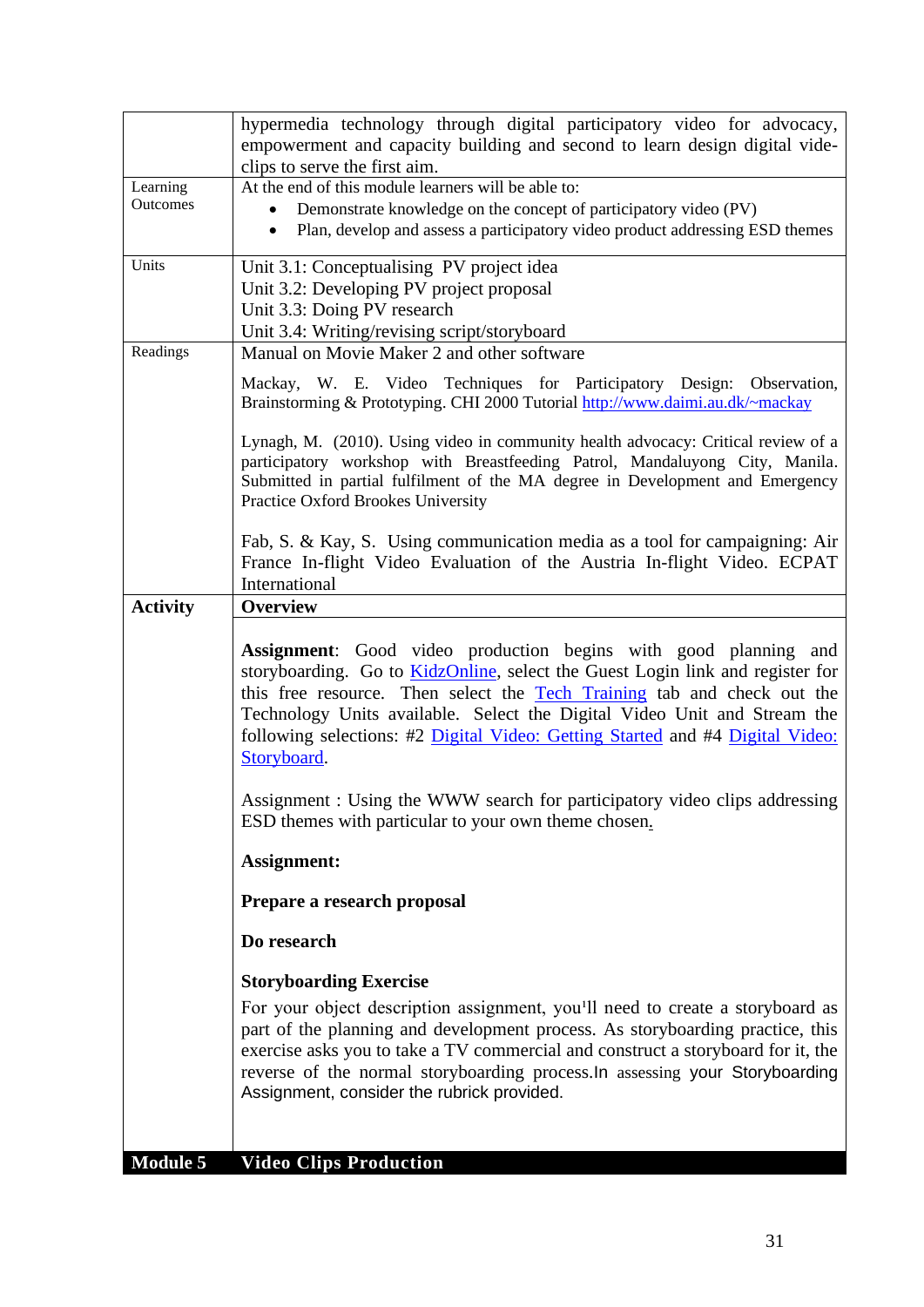|                 | hypermedia technology through digital participatory video for advocacy,<br>empowerment and capacity building and second to learn design digital vide-                                                                                                                                                                                                                                                           |
|-----------------|-----------------------------------------------------------------------------------------------------------------------------------------------------------------------------------------------------------------------------------------------------------------------------------------------------------------------------------------------------------------------------------------------------------------|
|                 | clips to serve the first aim.                                                                                                                                                                                                                                                                                                                                                                                   |
| Learning        | At the end of this module learners will be able to:                                                                                                                                                                                                                                                                                                                                                             |
| Outcomes        | Demonstrate knowledge on the concept of participatory video (PV)<br>Plan, develop and assess a participatory video product addressing ESD themes                                                                                                                                                                                                                                                                |
| Units           | Unit 3.1: Conceptualising PV project idea<br>Unit 3.2: Developing PV project proposal<br>Unit 3.3: Doing PV research                                                                                                                                                                                                                                                                                            |
| Readings        | Unit 3.4: Writing/revising script/storyboard<br>Manual on Movie Maker 2 and other software                                                                                                                                                                                                                                                                                                                      |
|                 | Mackay, W. E. Video Techniques for Participatory Design: Observation,<br>Brainstorming & Prototyping. CHI 2000 Tutorial http://www.daimi.au.dk/~mackay                                                                                                                                                                                                                                                          |
|                 | Lynagh, M. (2010). Using video in community health advocacy: Critical review of a<br>participatory workshop with Breastfeeding Patrol, Mandaluyong City, Manila.<br>Submitted in partial fulfilment of the MA degree in Development and Emergency<br>Practice Oxford Brookes University                                                                                                                         |
|                 | Fab, S. & Kay, S. Using communication media as a tool for campaigning: Air<br>France In-flight Video Evaluation of the Austria In-flight Video. ECPAT<br>International                                                                                                                                                                                                                                          |
| <b>Activity</b> | <b>Overview</b>                                                                                                                                                                                                                                                                                                                                                                                                 |
|                 | Assignment: Good video production begins with good planning and<br>storyboarding. Go to <b>KidzOnline</b> , select the Guest Login link and register for<br>this free resource. Then select the Tech Training tab and check out the<br>Technology Units available. Select the Digital Video Unit and Stream the<br>following selections: #2 Digital Video: Getting Started and #4 Digital Video:<br>Storyboard. |
|                 | Assignment : Using the WWW search for participatory video clips addressing<br>ESD themes with particular to your own theme chosen.                                                                                                                                                                                                                                                                              |
|                 | <b>Assignment:</b>                                                                                                                                                                                                                                                                                                                                                                                              |
|                 | Prepare a research proposal                                                                                                                                                                                                                                                                                                                                                                                     |
|                 | Do research                                                                                                                                                                                                                                                                                                                                                                                                     |
|                 | <b>Storyboarding Exercise</b>                                                                                                                                                                                                                                                                                                                                                                                   |
|                 | For your object description assignment, you'll need to create a storyboard as<br>part of the planning and development process. As storyboarding practice, this<br>exercise asks you to take a TV commercial and construct a storyboard for it, the<br>reverse of the normal storyboarding process. In assessing your Storyboarding<br>Assignment, consider the rubrick provided.                                |
| <b>Module 5</b> | <b>Video Clips Production</b>                                                                                                                                                                                                                                                                                                                                                                                   |
|                 |                                                                                                                                                                                                                                                                                                                                                                                                                 |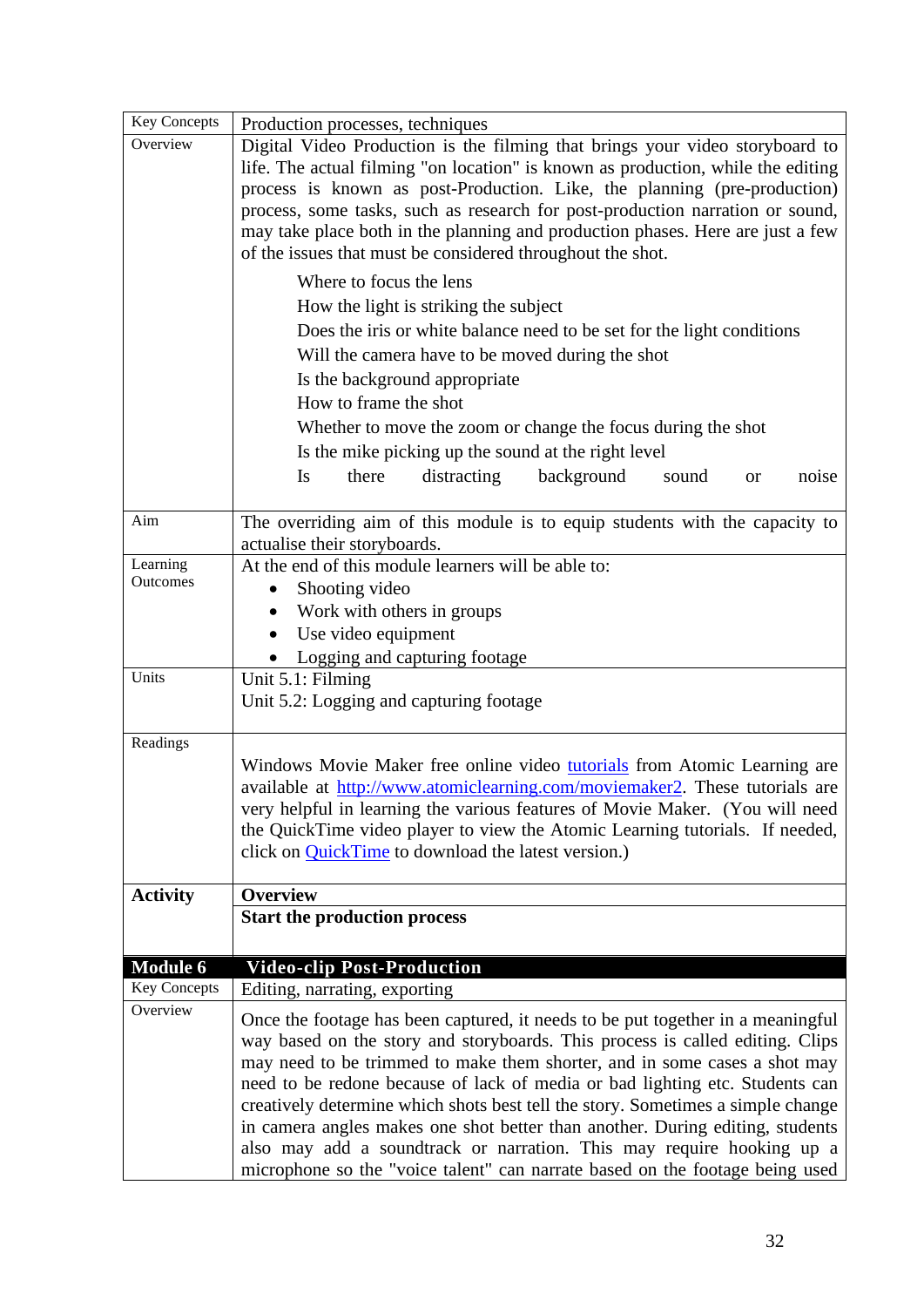| <b>Key Concepts</b>  | Production processes, techniques                                                                                                                                                                                                                                                                                                                                                                                                                                                                                                                                                                                                                           |
|----------------------|------------------------------------------------------------------------------------------------------------------------------------------------------------------------------------------------------------------------------------------------------------------------------------------------------------------------------------------------------------------------------------------------------------------------------------------------------------------------------------------------------------------------------------------------------------------------------------------------------------------------------------------------------------|
| Overview             | Digital Video Production is the filming that brings your video storyboard to<br>life. The actual filming "on location" is known as production, while the editing<br>process is known as post-Production. Like, the planning (pre-production)<br>process, some tasks, such as research for post-production narration or sound,<br>may take place both in the planning and production phases. Here are just a few<br>of the issues that must be considered throughout the shot.                                                                                                                                                                              |
|                      | Where to focus the lens<br>How the light is striking the subject<br>Does the iris or white balance need to be set for the light conditions<br>Will the camera have to be moved during the shot<br>Is the background appropriate<br>How to frame the shot<br>Whether to move the zoom or change the focus during the shot<br>Is the mike picking up the sound at the right level<br>there<br>distracting<br>background<br>Is<br>sound<br>noise<br><b>or</b>                                                                                                                                                                                                 |
| Aim                  | The overriding aim of this module is to equip students with the capacity to<br>actualise their storyboards.                                                                                                                                                                                                                                                                                                                                                                                                                                                                                                                                                |
| Learning<br>Outcomes | At the end of this module learners will be able to:<br>Shooting video<br>$\bullet$<br>Work with others in groups<br>$\bullet$<br>Use video equipment<br>Logging and capturing footage                                                                                                                                                                                                                                                                                                                                                                                                                                                                      |
| Units                | Unit 5.1: Filming<br>Unit 5.2: Logging and capturing footage                                                                                                                                                                                                                                                                                                                                                                                                                                                                                                                                                                                               |
| Readings             | Windows Movie Maker free online video tutorials from Atomic Learning are<br>available at http://www.atomiclearning.com/moviemaker2. These tutorials are<br>very helpful in learning the various features of Movie Maker. (You will need<br>the QuickTime video player to view the Atomic Learning tutorials. If needed,<br>click on <b>QuickTime</b> to download the latest version.)                                                                                                                                                                                                                                                                      |
| <b>Activity</b>      | <b>Overview</b><br><b>Start the production process</b>                                                                                                                                                                                                                                                                                                                                                                                                                                                                                                                                                                                                     |
| <b>Module 6</b>      | <b>Video-clip Post-Production</b>                                                                                                                                                                                                                                                                                                                                                                                                                                                                                                                                                                                                                          |
| <b>Key Concepts</b>  | Editing, narrating, exporting                                                                                                                                                                                                                                                                                                                                                                                                                                                                                                                                                                                                                              |
| Overview             | Once the footage has been captured, it needs to be put together in a meaningful<br>way based on the story and storyboards. This process is called editing. Clips<br>may need to be trimmed to make them shorter, and in some cases a shot may<br>need to be redone because of lack of media or bad lighting etc. Students can<br>creatively determine which shots best tell the story. Sometimes a simple change<br>in camera angles makes one shot better than another. During editing, students<br>also may add a soundtrack or narration. This may require hooking up a<br>microphone so the "voice talent" can narrate based on the footage being used |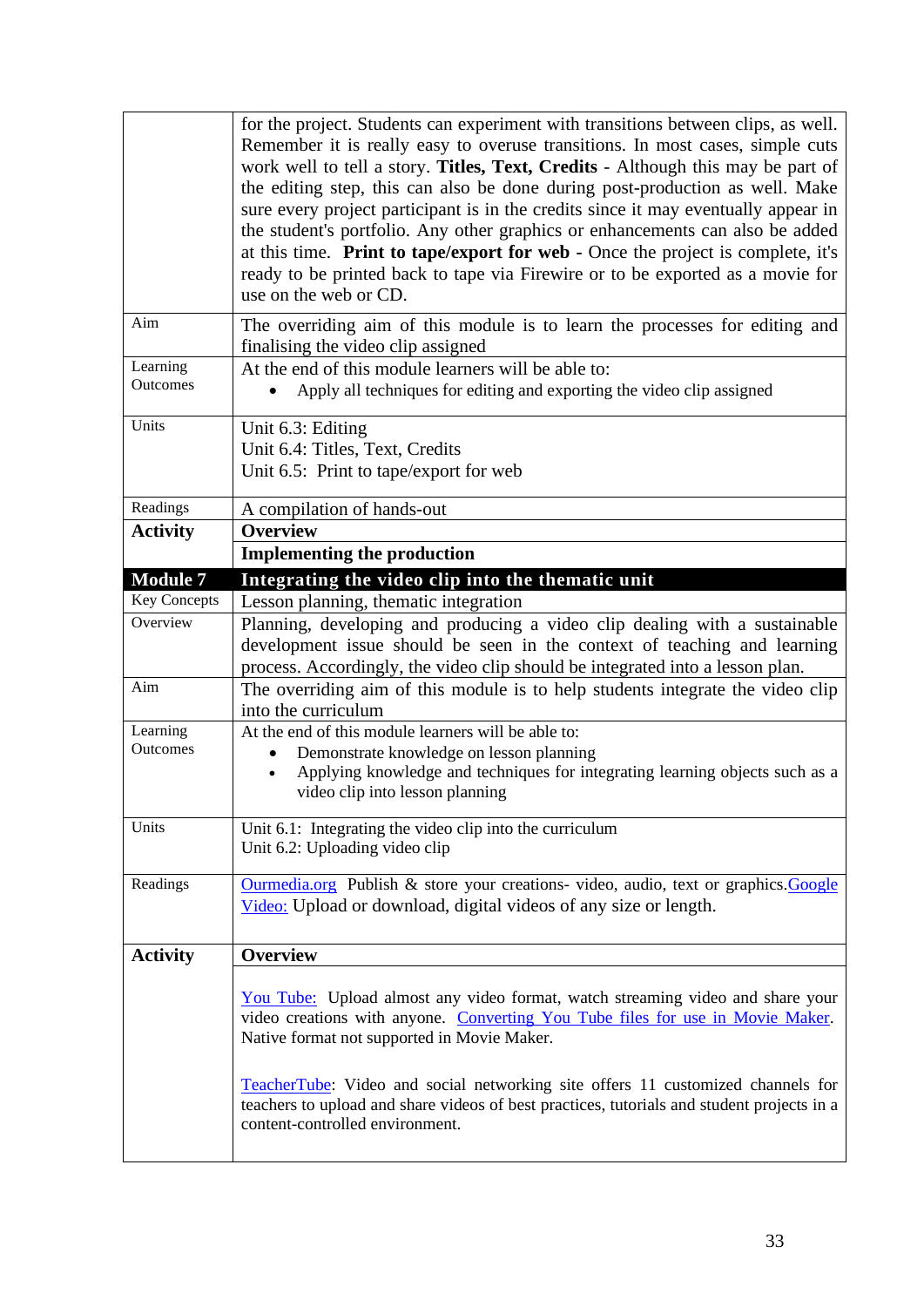|                     | for the project. Students can experiment with transitions between clips, as well.          |
|---------------------|--------------------------------------------------------------------------------------------|
|                     | Remember it is really easy to overuse transitions. In most cases, simple cuts              |
|                     | work well to tell a story. Titles, Text, Credits - Although this may be part of            |
|                     | the editing step, this can also be done during post-production as well. Make               |
|                     | sure every project participant is in the credits since it may eventually appear in         |
|                     | the student's portfolio. Any other graphics or enhancements can also be added              |
|                     | at this time. Print to tape/export for web - Once the project is complete, it's            |
|                     | ready to be printed back to tape via Firewire or to be exported as a movie for             |
|                     | use on the web or CD.                                                                      |
|                     |                                                                                            |
| Aim                 | The overriding aim of this module is to learn the processes for editing and                |
|                     | finalising the video clip assigned                                                         |
| Learning            | At the end of this module learners will be able to:                                        |
| Outcomes            | Apply all techniques for editing and exporting the video clip assigned                     |
| Units               | Unit 6.3: Editing                                                                          |
|                     | Unit 6.4: Titles, Text, Credits                                                            |
|                     | Unit 6.5: Print to tape/export for web                                                     |
|                     |                                                                                            |
| Readings            | A compilation of hands-out                                                                 |
| <b>Activity</b>     | <b>Overview</b>                                                                            |
|                     | <b>Implementing the production</b>                                                         |
| <b>Module 7</b>     | Integrating the video clip into the thematic unit                                          |
| <b>Key Concepts</b> | Lesson planning, thematic integration                                                      |
| Overview            | Planning, developing and producing a video clip dealing with a sustainable                 |
|                     | development issue should be seen in the context of teaching and learning                   |
|                     | process. Accordingly, the video clip should be integrated into a lesson plan.              |
| Aim                 | The overriding aim of this module is to help students integrate the video clip             |
|                     | into the curriculum                                                                        |
| Learning            | At the end of this module learners will be able to:                                        |
| Outcomes            | Demonstrate knowledge on lesson planning                                                   |
|                     | Applying knowledge and techniques for integrating learning objects such as a               |
|                     | video clip into lesson planning                                                            |
|                     |                                                                                            |
| Units               | Unit $6.1$ : Integrating the video clip into the curriculum                                |
|                     | Unit 6.2: Uploading video clip                                                             |
| Readings            | Ourmedia.org Publish & store your creations- video, audio, text or graphics. Google        |
|                     | Video: Upload or download, digital videos of any size or length.                           |
|                     |                                                                                            |
|                     |                                                                                            |
| <b>Activity</b>     | <b>Overview</b>                                                                            |
|                     | You Tube: Upload almost any video format, watch streaming video and share your             |
|                     | video creations with anyone. Converting You Tube files for use in Movie Maker.             |
|                     | Native format not supported in Movie Maker.                                                |
|                     |                                                                                            |
|                     | <b>TeacherTube:</b> Video and social networking site offers 11 customized channels for     |
|                     |                                                                                            |
|                     |                                                                                            |
|                     | teachers to upload and share videos of best practices, tutorials and student projects in a |
|                     | content-controlled environment.                                                            |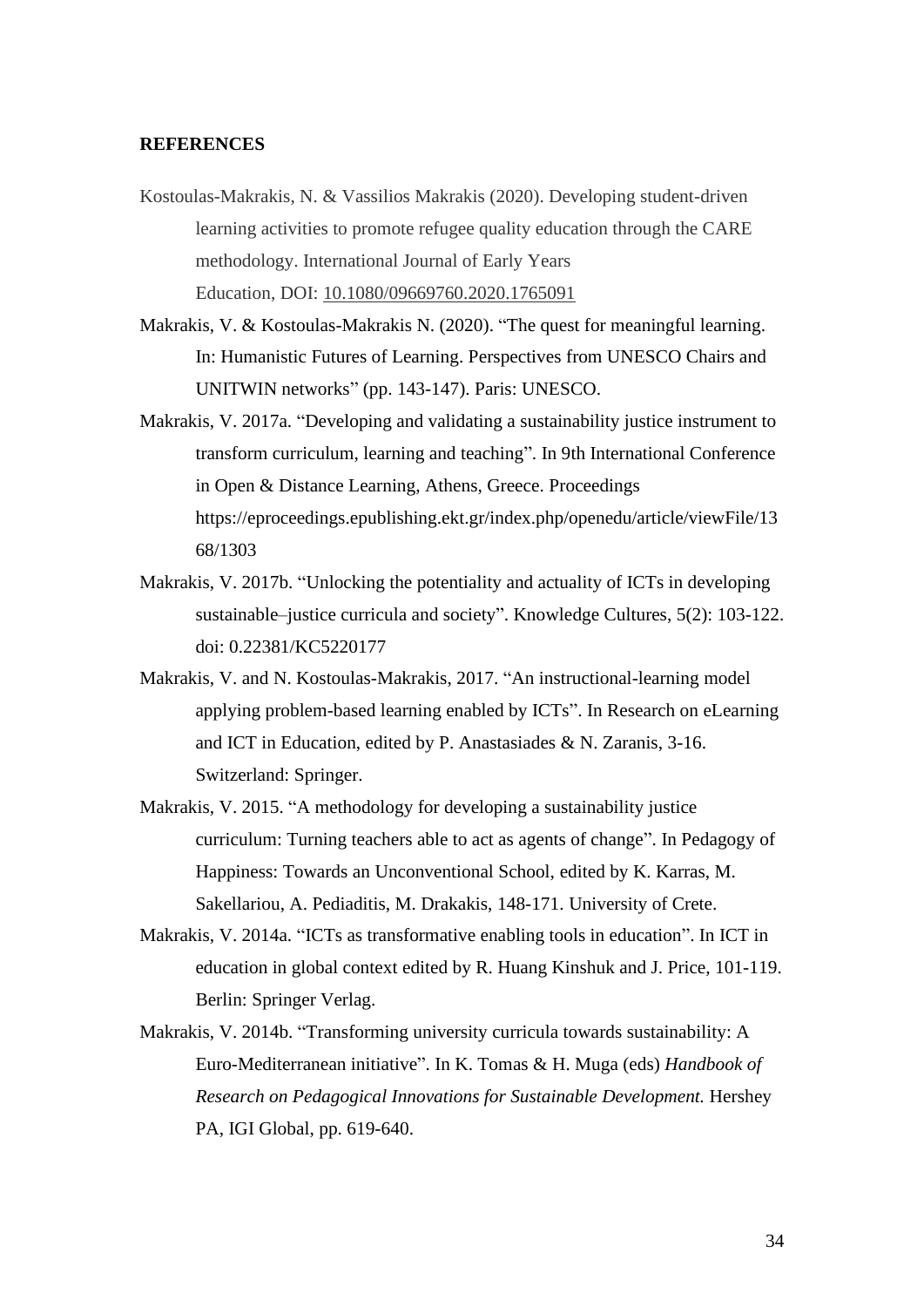#### **REFERENCES**

- Kostoulas-Makrakis, N. & Vassilios Makrakis (2020). Developing student-driven learning activities to promote refugee quality education through the CARE methodology. International Journal of Early Years Education, DOI: [10.1080/09669760.2020.1765091](https://doi.org/10.1080/09669760.2020.1765091)
- Makrakis, V. & Kostoulas-Makrakis N. (2020). "The quest for meaningful learning. In: Humanistic Futures of Learning. Perspectives from UNESCO Chairs and UNITWIN networks" (pp. 143-147). Paris: UNESCO.
- Makrakis, V. 2017a. "Developing and validating a sustainability justice instrument to transform curriculum, learning and teaching". In 9th International Conference in Open & Distance Learning, Athens, Greece. Proceedings https://eproceedings.epublishing.ekt.gr/index.php/openedu/article/viewFile/13 68/1303
- Makrakis, V. 2017b. "Unlocking the potentiality and actuality of ICTs in developing sustainable–justice curricula and society". Knowledge Cultures, 5(2): 103-122. doi: 0.22381/KC5220177
- Makrakis, V. and N. Kostoulas-Makrakis, 2017. "An instructional-learning model applying problem-based learning enabled by ICTs". In Research on eLearning and ICT in Education, edited by P. Anastasiades & N. Zaranis, 3-16. Switzerland: Springer.
- Makrakis, V. 2015. "A methodology for developing a sustainability justice curriculum: Turning teachers able to act as agents of change". In Pedagogy of Happiness: Towards an Unconventional School, edited by K. Karras, M. Sakellariou, A. Pediaditis, M. Drakakis, 148-171. University of Crete.
- Makrakis, V. 2014a. "ICTs as transformative enabling tools in education". In ICT in education in global context edited by R. Huang Kinshuk and J. Price, 101-119. Berlin: Springer Verlag.
- Makrakis, V. 2014b. "Transforming university curricula towards sustainability: A Euro-Mediterranean initiative". In K. Tomas & H. Muga (eds) *Handbook of Research on Pedagogical Innovations for Sustainable Development.* Hershey PA, IGI Global, pp. 619-640.